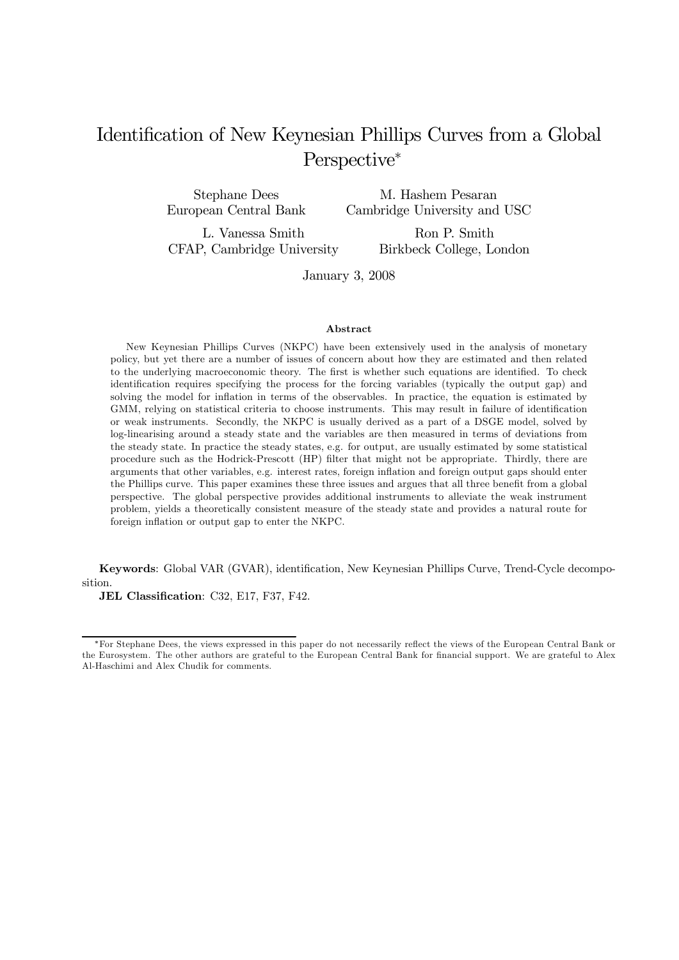# Identification of New Keynesian Phillips Curves from a Global Perspective<sup>\*</sup>

Stephane Dees European Central Bank

M. Hashem Pesaran Cambridge University and USC

L. Vanessa Smith CFAP, Cambridge University

Ron P. Smith Birkbeck College, London

January 3, 2008

#### Abstract

New Keynesian Phillips Curves (NKPC) have been extensively used in the analysis of monetary policy, but yet there are a number of issues of concern about how they are estimated and then related to the underlying macroeconomic theory. The first is whether such equations are identified. To check identification requires specifying the process for the forcing variables (typically the output gap) and solving the model for inflation in terms of the observables. In practice, the equation is estimated by GMM, relying on statistical criteria to choose instruments. This may result in failure of identification or weak instruments. Secondly, the NKPC is usually derived as a part of a DSGE model, solved by log-linearising around a steady state and the variables are then measured in terms of deviations from the steady state. In practice the steady states, e.g. for output, are usually estimated by some statistical procedure such as the Hodrick-Prescott (HP) filter that might not be appropriate. Thirdly, there are arguments that other variables, e.g. interest rates, foreign inflation and foreign output gaps should enter the Phillips curve. This paper examines these three issues and argues that all three benefit from a global perspective. The global perspective provides additional instruments to alleviate the weak instrument problem, yields a theoretically consistent measure of the steady state and provides a natural route for foreign inflation or output gap to enter the NKPC.

Keywords: Global VAR (GVAR), identification, New Keynesian Phillips Curve, Trend-Cycle decomposition.

JEL Classification: C32, E17, F37, F42.

<sup>∗</sup>For Stephane Dees, the views expressed in this paper do not necessarily reflect the views of the European Central Bank or the Eurosystem. The other authors are grateful to the European Central Bank for financial support. We are grateful to Alex Al-Haschimi and Alex Chudik for comments.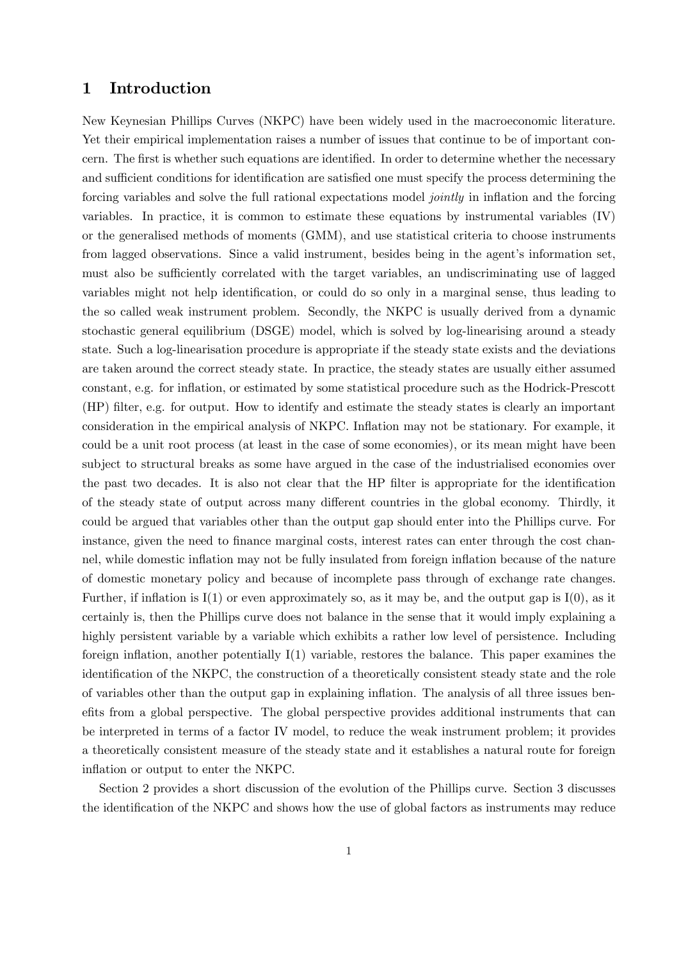# 1 Introduction

New Keynesian Phillips Curves (NKPC) have been widely used in the macroeconomic literature. Yet their empirical implementation raises a number of issues that continue to be of important concern. The first is whether such equations are identified. In order to determine whether the necessary and sufficient conditions for identification are satisfied one must specify the process determining the forcing variables and solve the full rational expectations model jointly in inflation and the forcing variables. In practice, it is common to estimate these equations by instrumental variables (IV) or the generalised methods of moments (GMM), and use statistical criteria to choose instruments from lagged observations. Since a valid instrument, besides being in the agent's information set, must also be sufficiently correlated with the target variables, an undiscriminating use of lagged variables might not help identification, or could do so only in a marginal sense, thus leading to the so called weak instrument problem. Secondly, the NKPC is usually derived from a dynamic stochastic general equilibrium (DSGE) model, which is solved by log-linearising around a steady state. Such a log-linearisation procedure is appropriate if the steady state exists and the deviations are taken around the correct steady state. In practice, the steady states are usually either assumed constant, e.g. for inflation, or estimated by some statistical procedure such as the Hodrick-Prescott (HP) filter, e.g. for output. How to identify and estimate the steady states is clearly an important consideration in the empirical analysis of NKPC. Inflation may not be stationary. For example, it could be a unit root process (at least in the case of some economies), or its mean might have been subject to structural breaks as some have argued in the case of the industrialised economies over the past two decades. It is also not clear that the HP filter is appropriate for the identification of the steady state of output across many different countries in the global economy. Thirdly, it could be argued that variables other than the output gap should enter into the Phillips curve. For instance, given the need to finance marginal costs, interest rates can enter through the cost channel, while domestic inflation may not be fully insulated from foreign inflation because of the nature of domestic monetary policy and because of incomplete pass through of exchange rate changes. Further, if inflation is  $I(1)$  or even approximately so, as it may be, and the output gap is  $I(0)$ , as it certainly is, then the Phillips curve does not balance in the sense that it would imply explaining a highly persistent variable by a variable which exhibits a rather low level of persistence. Including foreign inflation, another potentially I(1) variable, restores the balance. This paper examines the identification of the NKPC, the construction of a theoretically consistent steady state and the role of variables other than the output gap in explaining inflation. The analysis of all three issues benefits from a global perspective. The global perspective provides additional instruments that can be interpreted in terms of a factor IV model, to reduce the weak instrument problem; it provides a theoretically consistent measure of the steady state and it establishes a natural route for foreign inflation or output to enter the NKPC.

Section 2 provides a short discussion of the evolution of the Phillips curve. Section 3 discusses the identification of the NKPC and shows how the use of global factors as instruments may reduce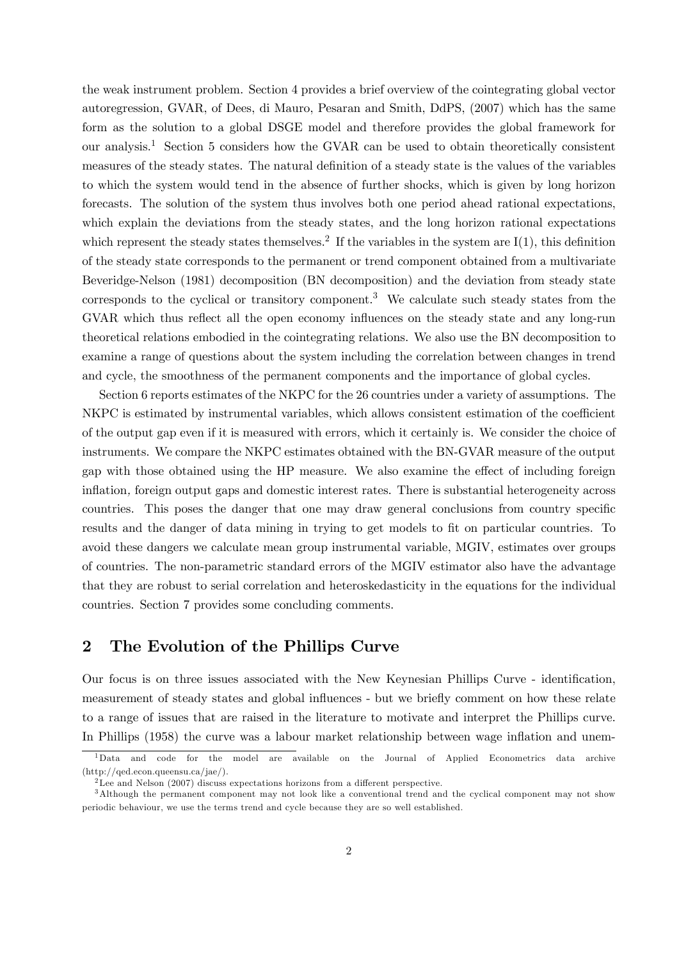the weak instrument problem. Section 4 provides a brief overview of the cointegrating global vector autoregression, GVAR, of Dees, di Mauro, Pesaran and Smith, DdPS, (2007) which has the same form as the solution to a global DSGE model and therefore provides the global framework for our analysis.<sup>1</sup> Section 5 considers how the GVAR can be used to obtain theoretically consistent measures of the steady states. The natural definition of a steady state is the values of the variables to which the system would tend in the absence of further shocks, which is given by long horizon forecasts. The solution of the system thus involves both one period ahead rational expectations, which explain the deviations from the steady states, and the long horizon rational expectations which represent the steady states themselves.<sup>2</sup> If the variables in the system are  $I(1)$ , this definition of the steady state corresponds to the permanent or trend component obtained from a multivariate Beveridge-Nelson (1981) decomposition (BN decomposition) and the deviation from steady state corresponds to the cyclical or transitory component.<sup>3</sup> We calculate such steady states from the GVAR which thus reflect all the open economy influences on the steady state and any long-run theoretical relations embodied in the cointegrating relations. We also use the BN decomposition to examine a range of questions about the system including the correlation between changes in trend and cycle, the smoothness of the permanent components and the importance of global cycles.

Section 6 reports estimates of the NKPC for the 26 countries under a variety of assumptions. The NKPC is estimated by instrumental variables, which allows consistent estimation of the coefficient of the output gap even if it is measured with errors, which it certainly is. We consider the choice of instruments. We compare the NKPC estimates obtained with the BN-GVAR measure of the output gap with those obtained using the HP measure. We also examine the effect of including foreign inflation, foreign output gaps and domestic interest rates. There is substantial heterogeneity across countries. This poses the danger that one may draw general conclusions from country specific results and the danger of data mining in trying to get models to fit on particular countries. To avoid these dangers we calculate mean group instrumental variable, MGIV, estimates over groups of countries. The non-parametric standard errors of the MGIV estimator also have the advantage that they are robust to serial correlation and heteroskedasticity in the equations for the individual countries. Section 7 provides some concluding comments.

# 2 The Evolution of the Phillips Curve

Our focus is on three issues associated with the New Keynesian Phillips Curve - identification, measurement of steady states and global influences - but we briefly comment on how these relate to a range of issues that are raised in the literature to motivate and interpret the Phillips curve. In Phillips (1958) the curve was a labour market relationship between wage inflation and unem-

<sup>1</sup>Data and code for the model are available on the Journal of Applied Econometrics data archive (http://qed.econ.queensu.ca/jae/).

<sup>&</sup>lt;sup>2</sup>Lee and Nelson (2007) discuss expectations horizons from a different perspective.

<sup>3</sup>Although the permanent component may not look like a conventional trend and the cyclical component may not show periodic behaviour, we use the terms trend and cycle because they are so well established.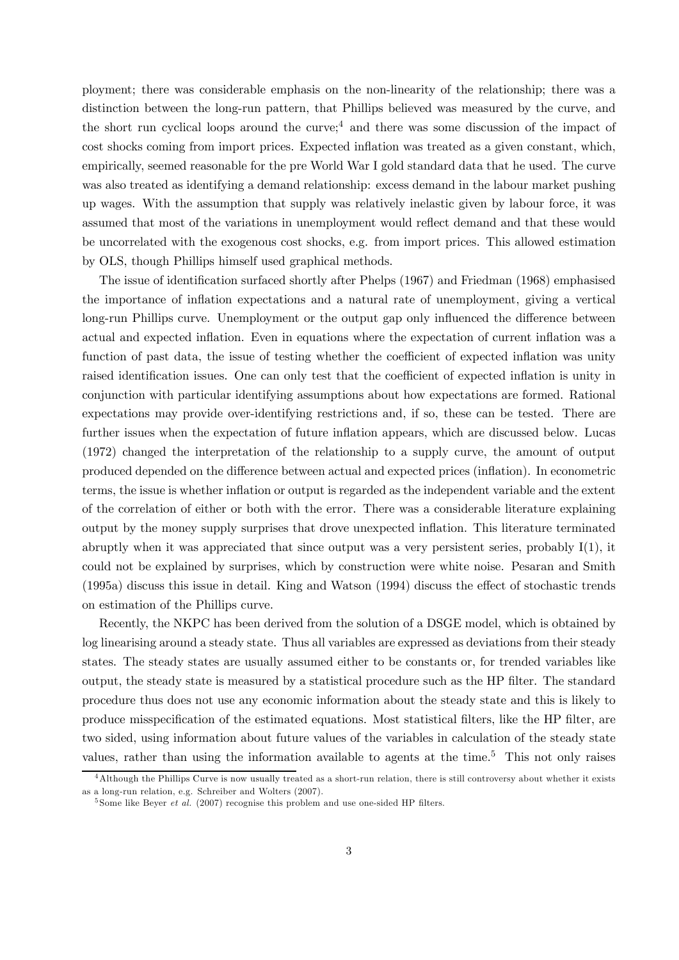ployment; there was considerable emphasis on the non-linearity of the relationship; there was a distinction between the long-run pattern, that Phillips believed was measured by the curve, and the short run cyclical loops around the curve;<sup>4</sup> and there was some discussion of the impact of cost shocks coming from import prices. Expected inflation was treated as a given constant, which, empirically, seemed reasonable for the pre World War I gold standard data that he used. The curve was also treated as identifying a demand relationship: excess demand in the labour market pushing up wages. With the assumption that supply was relatively inelastic given by labour force, it was assumed that most of the variations in unemployment would reflect demand and that these would be uncorrelated with the exogenous cost shocks, e.g. from import prices. This allowed estimation by OLS, though Phillips himself used graphical methods.

The issue of identification surfaced shortly after Phelps (1967) and Friedman (1968) emphasised the importance of inflation expectations and a natural rate of unemployment, giving a vertical long-run Phillips curve. Unemployment or the output gap only influenced the difference between actual and expected inflation. Even in equations where the expectation of current inflation was a function of past data, the issue of testing whether the coefficient of expected inflation was unity raised identification issues. One can only test that the coefficient of expected inflation is unity in conjunction with particular identifying assumptions about how expectations are formed. Rational expectations may provide over-identifying restrictions and, if so, these can be tested. There are further issues when the expectation of future inflation appears, which are discussed below. Lucas (1972) changed the interpretation of the relationship to a supply curve, the amount of output produced depended on the difference between actual and expected prices (inflation). In econometric terms, the issue is whether inflation or output is regarded as the independent variable and the extent of the correlation of either or both with the error. There was a considerable literature explaining output by the money supply surprises that drove unexpected inflation. This literature terminated abruptly when it was appreciated that since output was a very persistent series, probably I(1), it could not be explained by surprises, which by construction were white noise. Pesaran and Smith (1995a) discuss this issue in detail. King and Watson (1994) discuss the effect of stochastic trends on estimation of the Phillips curve.

Recently, the NKPC has been derived from the solution of a DSGE model, which is obtained by log linearising around a steady state. Thus all variables are expressed as deviations from their steady states. The steady states are usually assumed either to be constants or, for trended variables like output, the steady state is measured by a statistical procedure such as the HP filter. The standard procedure thus does not use any economic information about the steady state and this is likely to produce misspecification of the estimated equations. Most statistical filters, like the HP filter, are two sided, using information about future values of the variables in calculation of the steady state values, rather than using the information available to agents at the time.<sup>5</sup> This not only raises

<sup>&</sup>lt;sup>4</sup>Although the Phillips Curve is now usually treated as a short-run relation, there is still controversy about whether it exists as a long-run relation, e.g. Schreiber and Wolters (2007).

 $5$  Some like Beyer *et al.* (2007) recognise this problem and use one-sided HP filters.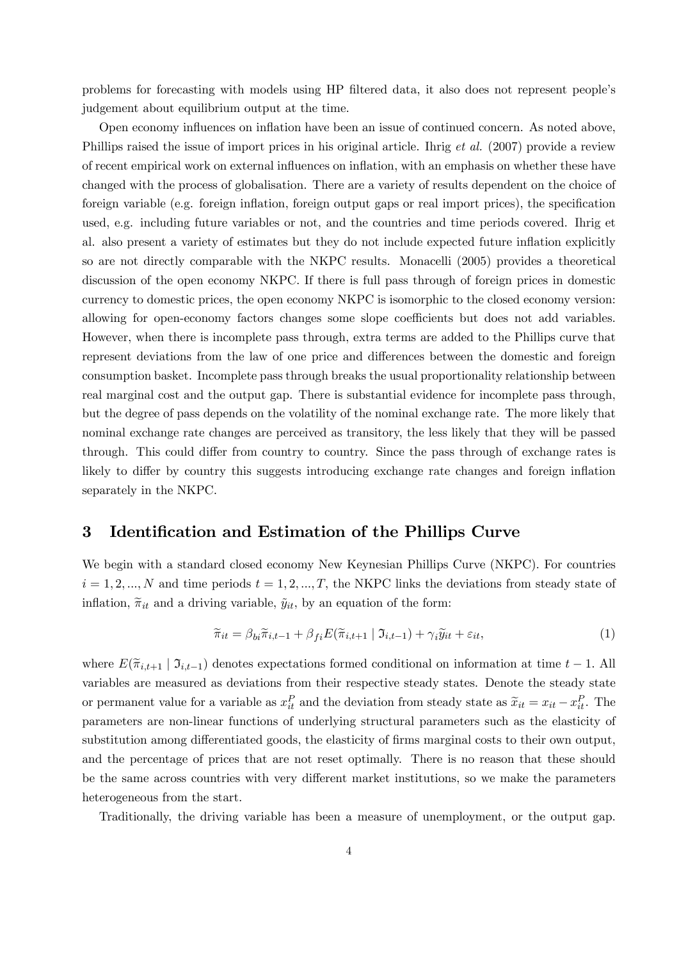problems for forecasting with models using HP filtered data, it also does not represent people's judgement about equilibrium output at the time.

Open economy influences on inflation have been an issue of continued concern. As noted above, Phillips raised the issue of import prices in his original article. Ihrig *et al.* (2007) provide a review of recent empirical work on external influences on inflation, with an emphasis on whether these have changed with the process of globalisation. There are a variety of results dependent on the choice of foreign variable (e.g. foreign inflation, foreign output gaps or real import prices), the specification used, e.g. including future variables or not, and the countries and time periods covered. Ihrig et al. also present a variety of estimates but they do not include expected future inflation explicitly so are not directly comparable with the NKPC results. Monacelli (2005) provides a theoretical discussion of the open economy NKPC. If there is full pass through of foreign prices in domestic currency to domestic prices, the open economy NKPC is isomorphic to the closed economy version: allowing for open-economy factors changes some slope coefficients but does not add variables. However, when there is incomplete pass through, extra terms are added to the Phillips curve that represent deviations from the law of one price and differences between the domestic and foreign consumption basket. Incomplete pass through breaks the usual proportionality relationship between real marginal cost and the output gap. There is substantial evidence for incomplete pass through, but the degree of pass depends on the volatility of the nominal exchange rate. The more likely that nominal exchange rate changes are perceived as transitory, the less likely that they will be passed through. This could differ from country to country. Since the pass through of exchange rates is likely to differ by country this suggests introducing exchange rate changes and foreign inflation separately in the NKPC.

# 3 Identification and Estimation of the Phillips Curve

We begin with a standard closed economy New Keynesian Phillips Curve (NKPC). For countries  $i = 1, 2, ..., N$  and time periods  $t = 1, 2, ..., T$ , the NKPC links the deviations from steady state of inflation,  $\tilde{\pi}_{it}$  and a driving variable,  $\tilde{y}_{it}$ , by an equation of the form:

$$
\widetilde{\pi}_{it} = \beta_{bi}\widetilde{\pi}_{i,t-1} + \beta_{fi}E(\widetilde{\pi}_{i,t+1} \mid \mathfrak{I}_{i,t-1}) + \gamma_i\widetilde{y}_{it} + \varepsilon_{it},\tag{1}
$$

where  $E(\tilde{\pi}_{i,t+1} | \mathfrak{I}_{i,t-1})$  denotes expectations formed conditional on information at time  $t-1$ . All variables are measured as deviations from their respective steady states. Denote the steady state or permanent value for a variable as  $x_{it}^P$  and the deviation from steady state as  $\tilde{x}_{it} = x_{it} - x_{it}^P$ . The parameters are non-linear functions of underlying structural parameters such as the elasticity of substitution among differentiated goods, the elasticity of firms marginal costs to their own output, and the percentage of prices that are not reset optimally. There is no reason that these should be the same across countries with very different market institutions, so we make the parameters heterogeneous from the start.

Traditionally, the driving variable has been a measure of unemployment, or the output gap.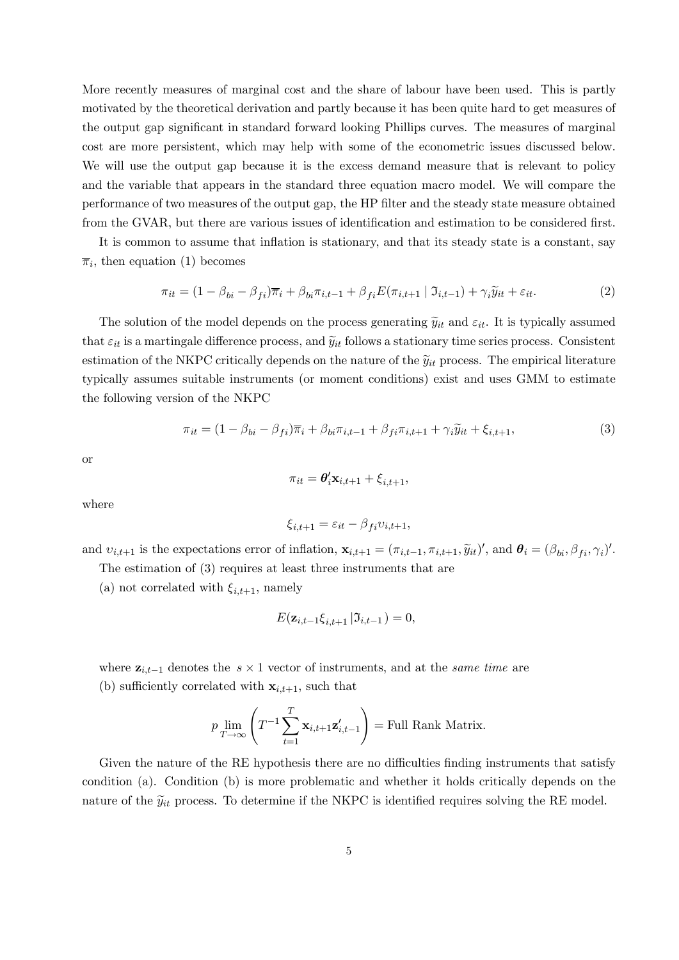More recently measures of marginal cost and the share of labour have been used. This is partly motivated by the theoretical derivation and partly because it has been quite hard to get measures of the output gap significant in standard forward looking Phillips curves. The measures of marginal cost are more persistent, which may help with some of the econometric issues discussed below. We will use the output gap because it is the excess demand measure that is relevant to policy and the variable that appears in the standard three equation macro model. We will compare the performance of two measures of the output gap, the HP filter and the steady state measure obtained from the GVAR, but there are various issues of identification and estimation to be considered first.

It is common to assume that inflation is stationary, and that its steady state is a constant, say  $\overline{\pi}_i$ , then equation (1) becomes

$$
\pi_{it} = (1 - \beta_{bi} - \beta_{fi})\overline{\pi}_i + \beta_{bi}\pi_{i,t-1} + \beta_{fi}E(\pi_{i,t+1} | \mathfrak{I}_{i,t-1}) + \gamma_i\widetilde{y}_{it} + \varepsilon_{it}.
$$
\n(2)

The solution of the model depends on the process generating  $\tilde{y}_{it}$  and  $\varepsilon_{it}$ . It is typically assumed that  $\varepsilon_{it}$  is a martingale difference process, and  $\tilde{y}_{it}$  follows a stationary time series process. Consistent estimation of the NKPC critically depends on the nature of the  $\tilde{y}_{it}$  process. The empirical literature typically assumes suitable instruments (or moment conditions) exist and uses GMM to estimate the following version of the NKPC

$$
\pi_{it} = (1 - \beta_{bi} - \beta_{fi})\overline{\pi}_i + \beta_{bi}\pi_{i,t-1} + \beta_{fi}\pi_{i,t+1} + \gamma_i\widetilde{y}_{it} + \xi_{i,t+1},
$$
\n(3)

or

$$
\pi_{it} = \boldsymbol{\theta}_i^{\prime} \mathbf{x}_{i,t+1} + \xi_{i,t+1},
$$

where

$$
\xi_{i,t+1} = \varepsilon_{it} - \beta_{fi} v_{i,t+1},
$$

and  $v_{i,t+1}$  is the expectations error of inflation,  $\mathbf{x}_{i,t+1} = (\pi_{i,t-1}, \pi_{i,t+1}, \widetilde{y}_{it})'$ , and  $\boldsymbol{\theta}_i = (\beta_{bi}, \beta_{fi}, \gamma_i)'$ . The estimation of (3) requires at least three instruments that are

(a) not correlated with  $\xi_{i,t+1}$ , namely

$$
E(\mathbf{z}_{i,t-1}\xi_{i,t+1} | \mathfrak{I}_{i,t-1}) = 0,
$$

where 
$$
\mathbf{z}_{i,t-1}
$$
 denotes the  $s \times 1$  vector of instruments, and at the *same time* are  
(b) sufficiently correlated with  $\mathbf{x}_{i,t+1}$ , such that

$$
p \lim_{T \to \infty} \left( T^{-1} \sum_{t=1}^{T} \mathbf{x}_{i,t+1} \mathbf{z}'_{i,t-1} \right) = \text{Full Rank Matrix}.
$$

Given the nature of the RE hypothesis there are no difficulties finding instruments that satisfy condition (a). Condition (b) is more problematic and whether it holds critically depends on the nature of the  $\widetilde{y}_{it}$  process. To determine if the NKPC is identified requires solving the RE model.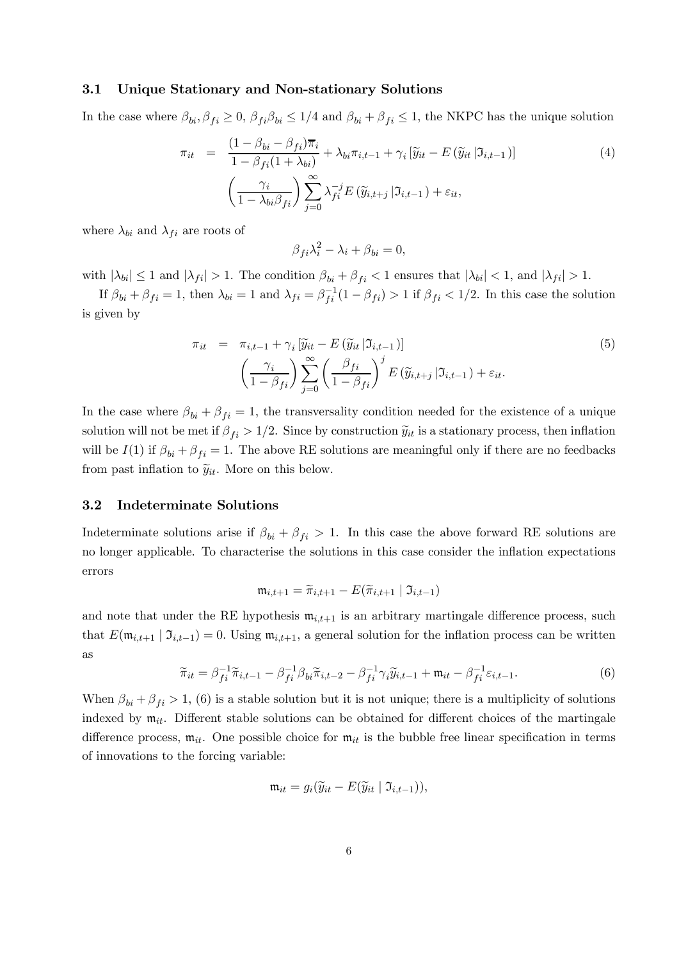## 3.1 Unique Stationary and Non-stationary Solutions

In the case where  $\beta_{bi}, \beta_{fi} \ge 0$ ,  $\beta_{fi} \beta_{bi} \le 1/4$  and  $\beta_{bi} + \beta_{fi} \le 1$ , the NKPC has the unique solution

$$
\pi_{it} = \frac{(1 - \beta_{bi} - \beta_{fi})\overline{\pi}_{i}}{1 - \beta_{fi}(1 + \lambda_{bi})} + \lambda_{bi}\pi_{i,t-1} + \gamma_{i} \left[\widetilde{y}_{it} - E\left(\widetilde{y}_{it} | \mathfrak{I}_{i,t-1}\right)\right]
$$
\n
$$
\left(\frac{\gamma_{i}}{1 - \lambda_{bi}\beta_{fi}}\right) \sum_{j=0}^{\infty} \lambda_{fi}^{-j} E\left(\widetilde{y}_{i,t+j} | \mathfrak{I}_{i,t-1}\right) + \varepsilon_{it},
$$
\n(4)

where  $\lambda_{bi}$  and  $\lambda_{fi}$  are roots of

$$
\beta_{fi}\lambda_i^2 - \lambda_i + \beta_{bi} = 0,
$$

with  $|\lambda_{bi}| \le 1$  and  $|\lambda_{fi}| > 1$ . The condition  $\beta_{bi} + \beta_{fi} < 1$  ensures that  $|\lambda_{bi}| < 1$ , and  $|\lambda_{fi}| > 1$ .

If  $\beta_{bi} + \beta_{fi} = 1$ , then  $\lambda_{bi} = 1$  and  $\lambda_{fi} = \beta_{fi}^{-1}(1 - \beta_{fi}) > 1$  if  $\beta_{fi} < 1/2$ . In this case the solution is given by

$$
\pi_{it} = \pi_{i,t-1} + \gamma_i \left[ \widetilde{y}_{it} - E \left( \widetilde{y}_{it} | \mathfrak{I}_{i,t-1} \right) \right]
$$
\n
$$
\left( \frac{\gamma_i}{1 - \beta_{fi}} \right) \sum_{j=0}^{\infty} \left( \frac{\beta_{fi}}{1 - \beta_{fi}} \right)^j E \left( \widetilde{y}_{i,t+j} | \mathfrak{I}_{i,t-1} \right) + \varepsilon_{it}.
$$
\n(5)

In the case where  $\beta_{bi} + \beta_{fi} = 1$ , the transversality condition needed for the existence of a unique solution will not be met if  $\beta_{fi} > 1/2$ . Since by construction  $\tilde{y}_{it}$  is a stationary process, then inflation will be  $I(1)$  if  $\beta_{bi} + \beta_{fi} = 1$ . The above RE solutions are meaningful only if there are no feedbacks from past inflation to  $\tilde{y}_{it}$ . More on this below.

#### 3.2 Indeterminate Solutions

Indeterminate solutions arise if  $\beta_{bi} + \beta_{fi} > 1$ . In this case the above forward RE solutions are no longer applicable. To characterise the solutions in this case consider the inflation expectations errors

$$
\mathfrak{m}_{i,t+1} = \widetilde{\pi}_{i,t+1} - E(\widetilde{\pi}_{i,t+1} \mid \mathfrak{I}_{i,t-1})
$$

and note that under the RE hypothesis  $m_{i,t+1}$  is an arbitrary martingale difference process, such that  $E(\mathfrak{m}_{i,t+1} | \mathfrak{I}_{i,t-1})=0$ . Using  $\mathfrak{m}_{i,t+1}$ , a general solution for the inflation process can be written as

$$
\widetilde{\pi}_{it} = \beta_{fi}^{-1} \widetilde{\pi}_{i,t-1} - \beta_{fi}^{-1} \beta_{bi} \widetilde{\pi}_{i,t-2} - \beta_{fi}^{-1} \gamma_i \widetilde{y}_{i,t-1} + \mathfrak{m}_{it} - \beta_{fi}^{-1} \varepsilon_{i,t-1}.
$$
\n(6)

When  $\beta_{bi} + \beta_{fi} > 1$ , (6) is a stable solution but it is not unique; there is a multiplicity of solutions indexed by  $m_{it}$ . Different stable solutions can be obtained for different choices of the martingale difference process,  $m_{it}$ . One possible choice for  $m_{it}$  is the bubble free linear specification in terms of innovations to the forcing variable:

$$
\mathfrak{m}_{it} = g_i(\widetilde{y}_{it} - E(\widetilde{y}_{it} \mid \mathfrak{I}_{i,t-1})),
$$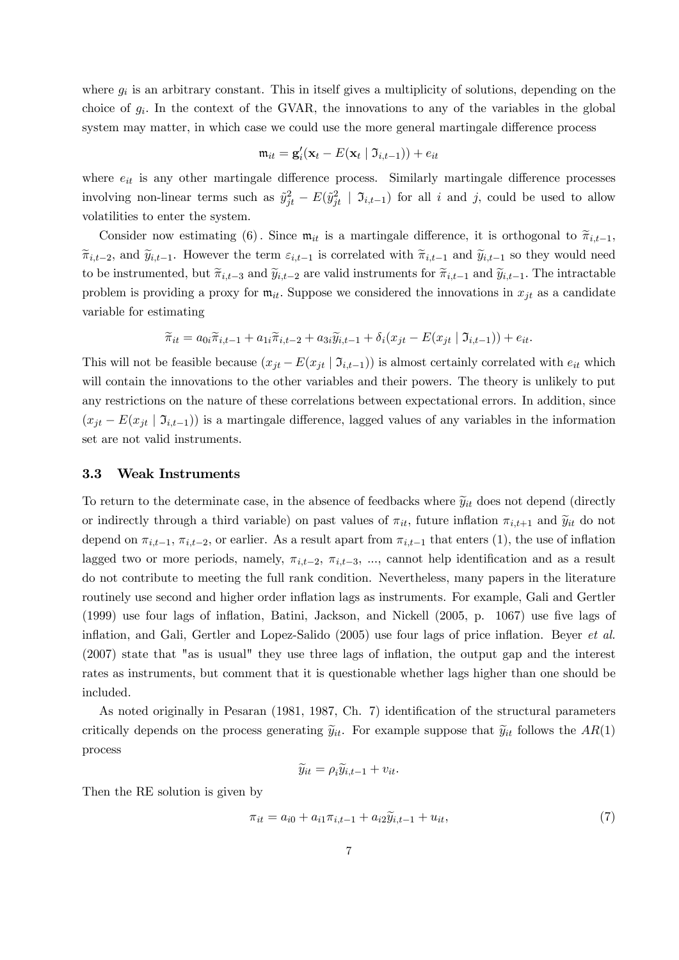where  $g_i$  is an arbitrary constant. This in itself gives a multiplicity of solutions, depending on the choice of  $g_i$ . In the context of the GVAR, the innovations to any of the variables in the global system may matter, in which case we could use the more general martingale difference process

$$
\mathfrak{m}_{it} = \mathbf{g}'_i(\mathbf{x}_t - E(\mathbf{x}_t \mid \mathfrak{I}_{i,t-1})) + e_{it}
$$

where  $e_{it}$  is any other martingale difference process. Similarly martingale difference processes involving non-linear terms such as  $\tilde{y}_{jt}^2 - E(\tilde{y}_{jt}^2 \mid \mathcal{I}_{i,t-1})$  for all i and j, could be used to allow volatilities to enter the system.

Consider now estimating (6). Since  $m_{it}$  is a martingale difference, it is orthogonal to  $\tilde{\pi}_{i,t-1}$ ,  $\widetilde{\pi}_{i,t-2}$ , and  $\widetilde{y}_{i,t-1}$ . However the term  $\varepsilon_{i,t-1}$  is correlated with  $\widetilde{\pi}_{i,t-1}$  and  $\widetilde{y}_{i,t-1}$  so they would need to be instrumented, but  $\widetilde{\pi}_{i,t-3}$  and  $\widetilde{y}_{i,t-2}$  are valid instruments for  $\widetilde{\pi}_{i,t-1}$  and  $\widetilde{y}_{i,t-1}$ . The intractable problem is providing a proxy for  $m_{it}$ . Suppose we considered the innovations in  $x_{it}$  as a candidate variable for estimating

$$
\widetilde{\pi}_{it} = a_{0i}\widetilde{\pi}_{i,t-1} + a_{1i}\widetilde{\pi}_{i,t-2} + a_{3i}\widetilde{y}_{i,t-1} + \delta_i(x_{jt} - E(x_{jt} \mid \mathfrak{I}_{i,t-1})) + e_{it}.
$$

This will not be feasible because  $(x_{jt} - E(x_{jt} | \mathcal{I}_{i,t-1}))$  is almost certainly correlated with  $e_{it}$  which will contain the innovations to the other variables and their powers. The theory is unlikely to put any restrictions on the nature of these correlations between expectational errors. In addition, since  $(x_{it} - E(x_{it} | \mathcal{I}_{i,t-1}))$  is a martingale difference, lagged values of any variables in the information set are not valid instruments.

#### 3.3 Weak Instruments

To return to the determinate case, in the absence of feedbacks where  $\tilde{y}_{it}$  does not depend (directly or indirectly through a third variable) on past values of  $\pi_{it}$ , future inflation  $\pi_{i,t+1}$  and  $\widetilde{y}_{it}$  do not depend on  $\pi_{i,t-1}$ ,  $\pi_{i,t-2}$ , or earlier. As a result apart from  $\pi_{i,t-1}$  that enters (1), the use of inflation lagged two or more periods, namely,  $\pi_{i,t-2}$ ,  $\pi_{i,t-3}$ , ..., cannot help identification and as a result do not contribute to meeting the full rank condition. Nevertheless, many papers in the literature routinely use second and higher order inflation lags as instruments. For example, Gali and Gertler (1999) use four lags of inflation, Batini, Jackson, and Nickell (2005, p. 1067) use five lags of inflation, and Gali, Gertler and Lopez-Salido (2005) use four lags of price inflation. Beyer et al. (2007) state that "as is usual" they use three lags of inflation, the output gap and the interest rates as instruments, but comment that it is questionable whether lags higher than one should be included.

As noted originally in Pesaran (1981, 1987, Ch. 7) identification of the structural parameters critically depends on the process generating  $\tilde{y}_{it}$ . For example suppose that  $\tilde{y}_{it}$  follows the  $AR(1)$ process

$$
\widetilde{y}_{it} = \rho_i \widetilde{y}_{i,t-1} + v_{it}.
$$

Then the RE solution is given by

$$
\pi_{it} = a_{i0} + a_{i1}\pi_{i,t-1} + a_{i2}\tilde{y}_{i,t-1} + u_{it},\tag{7}
$$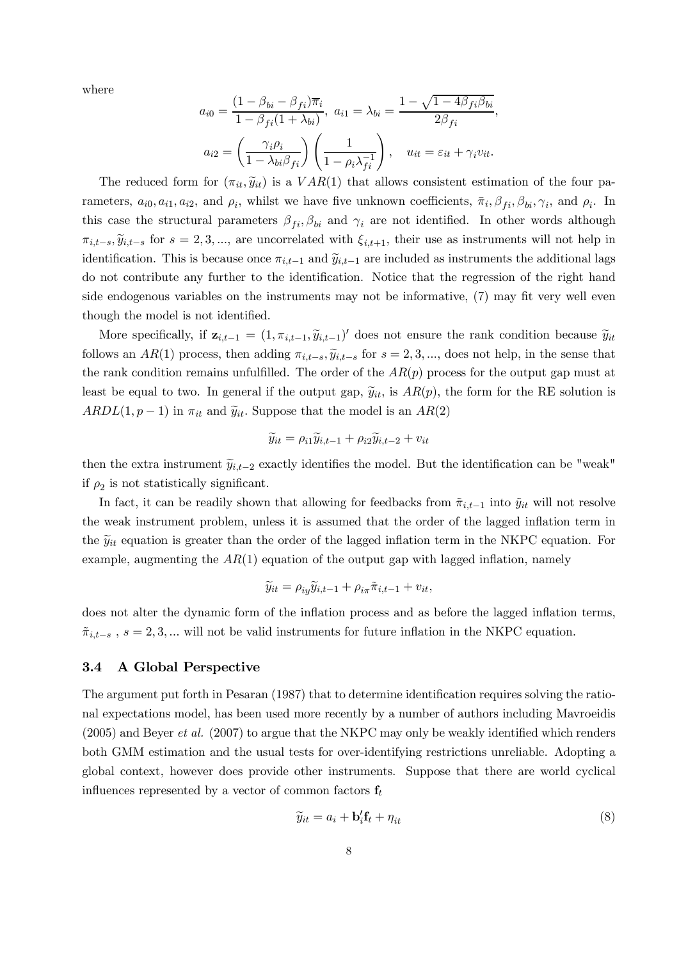where

$$
a_{i0} = \frac{(1 - \beta_{bi} - \beta_{fi})\overline{\pi}_{i}}{1 - \beta_{fi}(1 + \lambda_{bi})}, \ a_{i1} = \lambda_{bi} = \frac{1 - \sqrt{1 - 4\beta_{fi}\beta_{bi}}}{2\beta_{fi}},
$$

$$
a_{i2} = \left(\frac{\gamma_{i}\rho_{i}}{1 - \lambda_{bi}\beta_{fi}}\right)\left(\frac{1}{1 - \rho_{i}\lambda_{fi}^{-1}}\right), \quad u_{it} = \varepsilon_{it} + \gamma_{i}v_{it}.
$$

The reduced form for  $(\pi_{it}, \tilde{y}_{it})$  is a  $VAR(1)$  that allows consistent estimation of the four parameters,  $a_{i0}, a_{i1}, a_{i2}$ , and  $\rho_i$ , whilst we have five unknown coefficients,  $\bar{\pi}_i$ ,  $\beta_{fi}$ ,  $\beta_{bi}$ ,  $\gamma_i$ , and  $\rho_i$ . In this case the structural parameters  $\beta_{fi}, \beta_{bi}$  and  $\gamma_i$  are not identified. In other words although  $\pi_{i,t-s}, \widetilde{y}_{i,t-s}$  for  $s = 2,3,...$ , are uncorrelated with  $\xi_{i,t+1}$ , their use as instruments will not help in identification. This is because once  $\pi_{i,t-1}$  and  $\widetilde{y}_{i,t-1}$  are included as instruments the additional lags do not contribute any further to the identification. Notice that the regression of the right hand side endogenous variables on the instruments may not be informative, (7) may fit very well even though the model is not identified.

More specifically, if  $\mathbf{z}_{i,t-1} = (1, \pi_{i,t-1}, \tilde{y}_{i,t-1})'$  does not ensure the rank condition because  $\tilde{y}_{it}$ follows an AR(1) process, then adding  $\pi_{i,t-s}$ ,  $\widetilde{y}_{i,t-s}$  for  $s = 2, 3, ...$ , does not help, in the sense that the rank condition remains unfulfilled. The order of the  $AR(p)$  process for the output gap must at least be equal to two. In general if the output gap,  $\tilde{y}_{it}$ , is  $AR(p)$ , the form for the RE solution is  $ARDL(1, p-1)$  in  $\pi_{it}$  and  $\widetilde{y}_{it}$ . Suppose that the model is an  $AR(2)$ 

$$
\widetilde{y}_{it} = \rho_{i1}\widetilde{y}_{i,t-1} + \rho_{i2}\widetilde{y}_{i,t-2} + v_{it}
$$

then the extra instrument  $\tilde{y}_{i,t-2}$  exactly identifies the model. But the identification can be "weak" if  $\rho_2$  is not statistically significant.

In fact, it can be readily shown that allowing for feedbacks from  $\tilde{\pi}_{i,t-1}$  into  $\tilde{y}_{it}$  will not resolve the weak instrument problem, unless it is assumed that the order of the lagged inflation term in the  $\widetilde{y}_{it}$  equation is greater than the order of the lagged inflation term in the NKPC equation. For example, augmenting the  $AR(1)$  equation of the output gap with lagged inflation, namely

$$
\widetilde{y}_{it} = \rho_{iy}\widetilde{y}_{i,t-1} + \rho_{i\pi}\widetilde{\pi}_{i,t-1} + v_{it},
$$

does not alter the dynamic form of the inflation process and as before the lagged inflation terms,  $\tilde{\pi}_{i,t-s}$ ,  $s = 2,3,...$  will not be valid instruments for future inflation in the NKPC equation.

#### 3.4 A Global Perspective

The argument put forth in Pesaran (1987) that to determine identification requires solving the rational expectations model, has been used more recently by a number of authors including Mavroeidis (2005) and Beyer et al. (2007) to argue that the NKPC may only be weakly identified which renders both GMM estimation and the usual tests for over-identifying restrictions unreliable. Adopting a global context, however does provide other instruments. Suppose that there are world cyclical influences represented by a vector of common factors  $f_t$ 

$$
\widetilde{y}_{it} = a_i + \mathbf{b}'_i \mathbf{f}_t + \eta_{it} \tag{8}
$$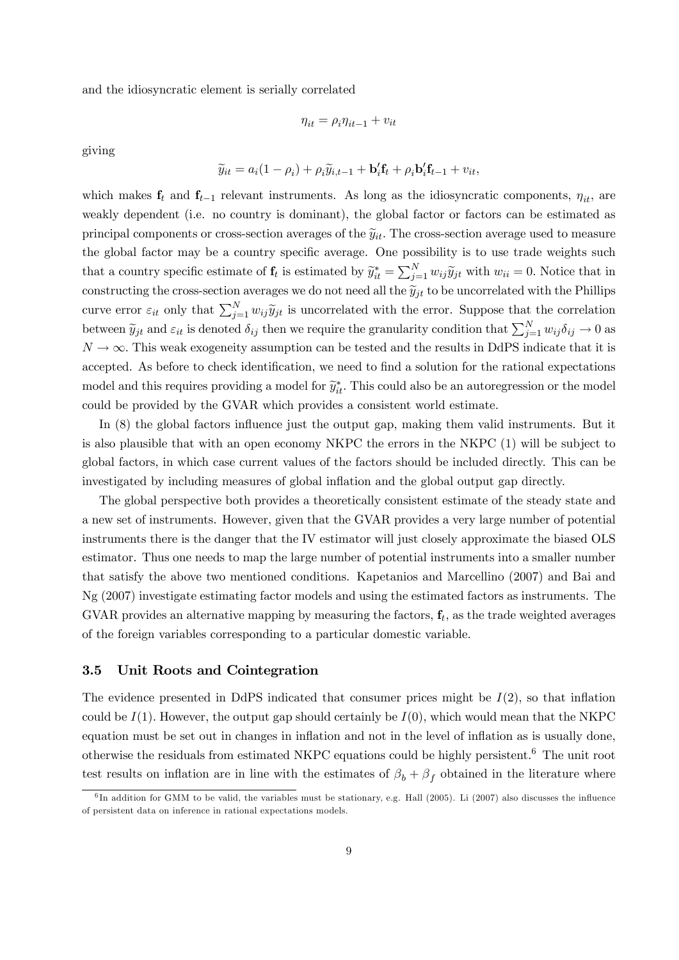and the idiosyncratic element is serially correlated

$$
\eta_{it} = \rho_i \eta_{it-1} + v_{it}
$$

giving

$$
\widetilde{y}_{it} = a_i(1 - \rho_i) + \rho_i \widetilde{y}_{i,t-1} + \mathbf{b}'_i \mathbf{f}_t + \rho_i \mathbf{b}'_i \mathbf{f}_{t-1} + v_{it},
$$

which makes  $f_t$  and  $f_{t-1}$  relevant instruments. As long as the idiosyncratic components,  $\eta_{it}$ , are weakly dependent (i.e. no country is dominant), the global factor or factors can be estimated as principal components or cross-section averages of the  $\tilde{y}_{it}$ . The cross-section average used to measure the global factor may be a country specific average. One possibility is to use trade weights such that a country specific estimate of  $f_t$  is estimated by  $\tilde{y}_{it}^* = \sum_{j=1}^N w_{ij} \tilde{y}_{jt}$  with  $w_{ii} = 0$ . Notice that in constructing the cross-section averages we do not need all the  $\tilde{y}_{jt}$  to be uncorrelated with the Phillips curve error  $\varepsilon_{it}$  only that  $\sum_{j=1}^{N} w_{ij} \widetilde{y}_{jt}$  is uncorrelated with the error. Suppose that the correlation between  $\tilde{y}_{jt}$  and  $\varepsilon_{it}$  is denoted  $\delta_{ij}$  then we require the granularity condition that  $\sum_{j=1}^{N} w_{ij} \delta_{ij} \to 0$  as  $N \to \infty$ . This weak exogeneity assumption can be tested and the results in DdPS indicate that it is accepted. As before to check identification, we need to find a solution for the rational expectations model and this requires providing a model for  $\tilde{y}_{it}^*$ . This could also be an autoregression or the model could be provided by the GVAR which provides a consistent world estimate.

In (8) the global factors influence just the output gap, making them valid instruments. But it is also plausible that with an open economy NKPC the errors in the NKPC (1) will be subject to global factors, in which case current values of the factors should be included directly. This can be investigated by including measures of global inflation and the global output gap directly.

The global perspective both provides a theoretically consistent estimate of the steady state and a new set of instruments. However, given that the GVAR provides a very large number of potential instruments there is the danger that the IV estimator will just closely approximate the biased OLS estimator. Thus one needs to map the large number of potential instruments into a smaller number that satisfy the above two mentioned conditions. Kapetanios and Marcellino (2007) and Bai and Ng (2007) investigate estimating factor models and using the estimated factors as instruments. The GVAR provides an alternative mapping by measuring the factors,  $f_t$ , as the trade weighted averages of the foreign variables corresponding to a particular domestic variable.

## 3.5 Unit Roots and Cointegration

The evidence presented in DdPS indicated that consumer prices might be  $I(2)$ , so that inflation could be  $I(1)$ . However, the output gap should certainly be  $I(0)$ , which would mean that the NKPC equation must be set out in changes in inflation and not in the level of inflation as is usually done, otherwise the residuals from estimated NKPC equations could be highly persistent.<sup>6</sup> The unit root test results on inflation are in line with the estimates of  $\beta_b + \beta_f$  obtained in the literature where

 $6$ In addition for GMM to be valid, the variables must be stationary, e.g. Hall (2005). Li (2007) also discusses the influence of persistent data on inference in rational expectations models.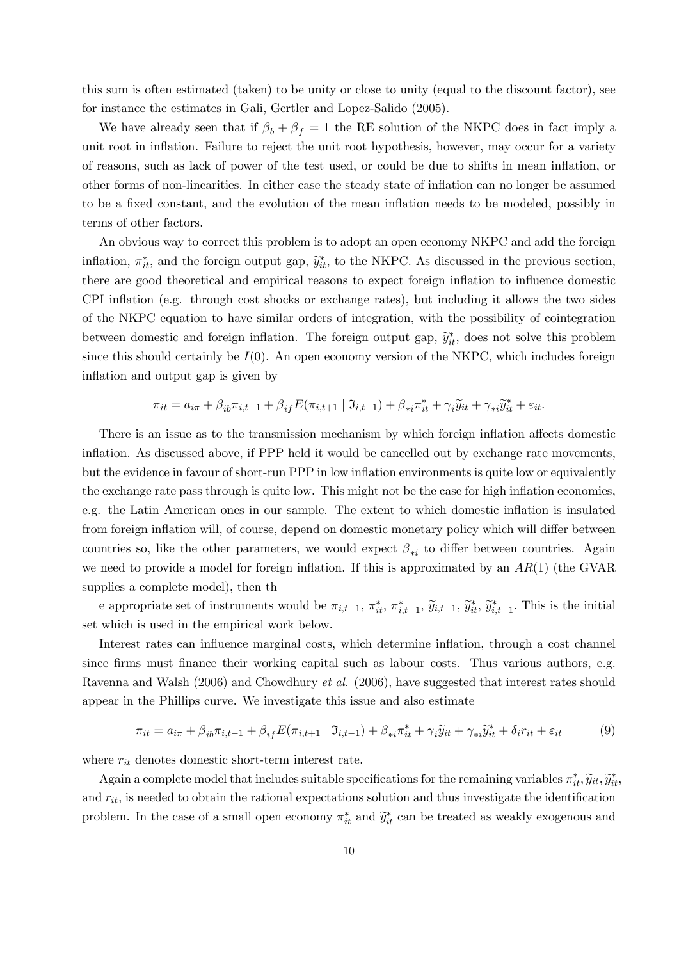this sum is often estimated (taken) to be unity or close to unity (equal to the discount factor), see for instance the estimates in Gali, Gertler and Lopez-Salido (2005).

We have already seen that if  $\beta_b + \beta_f = 1$  the RE solution of the NKPC does in fact imply a unit root in inflation. Failure to reject the unit root hypothesis, however, may occur for a variety of reasons, such as lack of power of the test used, or could be due to shifts in mean inflation, or other forms of non-linearities. In either case the steady state of inflation can no longer be assumed to be a fixed constant, and the evolution of the mean inflation needs to be modeled, possibly in terms of other factors.

An obvious way to correct this problem is to adopt an open economy NKPC and add the foreign inflation,  $\pi_{it}^*$ , and the foreign output gap,  $\widetilde{y}_{it}^*$ , to the NKPC. As discussed in the previous section, there are good theoretical and empirical reasons to expect foreign inflation to influence domestic CPI inflation (e.g. through cost shocks or exchange rates), but including it allows the two sides of the NKPC equation to have similar orders of integration, with the possibility of cointegration between domestic and foreign inflation. The foreign output gap,  $\tilde{y}_{it}^*$ , does not solve this problem since this should certainly be  $I(0)$ . An open economy version of the NKPC, which includes foreign inflation and output gap is given by

$$
\pi_{it} = a_{i\pi} + \beta_{ib}\pi_{i,t-1} + \beta_{if}E(\pi_{i,t+1} | \mathfrak{I}_{i,t-1}) + \beta_{*i}\pi_{it}^* + \gamma_i\widetilde{y}_{it} + \gamma_{*i}\widetilde{y}_{it}^* + \varepsilon_{it}.
$$

There is an issue as to the transmission mechanism by which foreign inflation affects domestic inflation. As discussed above, if PPP held it would be cancelled out by exchange rate movements, but the evidence in favour of short-run PPP in low inflation environments is quite low or equivalently the exchange rate pass through is quite low. This might not be the case for high inflation economies, e.g. the Latin American ones in our sample. The extent to which domestic inflation is insulated from foreign inflation will, of course, depend on domestic monetary policy which will differ between countries so, like the other parameters, we would expect  $\beta_{*i}$  to differ between countries. Again we need to provide a model for foreign inflation. If this is approximated by an  $AR(1)$  (the GVAR supplies a complete model), then th

e appropriate set of instruments would be  $\pi_{i,t-1}$ ,  $\pi_{it}^*$ ,  $\pi_{i,t-1}^*$ ,  $\widetilde{y}_{i,t-1}$ ,  $\widetilde{y}_{i,t-1}^*$ . This is the initial set which is used in the empirical work below.

Interest rates can influence marginal costs, which determine inflation, through a cost channel since firms must finance their working capital such as labour costs. Thus various authors, e.g. Ravenna and Walsh (2006) and Chowdhury et al. (2006), have suggested that interest rates should appear in the Phillips curve. We investigate this issue and also estimate

$$
\pi_{it} = a_{i\pi} + \beta_{ib}\pi_{i,t-1} + \beta_{if}E(\pi_{i,t+1} | \mathfrak{I}_{i,t-1}) + \beta_{*i}\pi_{it}^* + \gamma_i\widetilde{y}_{it} + \gamma_{*i}\widetilde{y}_{it}^* + \delta_i r_{it} + \varepsilon_{it}
$$
(9)

where  $r_{it}$  denotes domestic short-term interest rate.

Again a complete model that includes suitable specifications for the remaining variables  $\pi_{it}^*, \widetilde{y}_{it}, \widetilde{y}_{it}^*, \widetilde{y}_{it}$ and  $r_{it}$ , is needed to obtain the rational expectations solution and thus investigate the identification problem. In the case of a small open economy  $\pi_{it}^*$  and  $\widetilde{y}_{it}^*$  can be treated as weakly exogenous and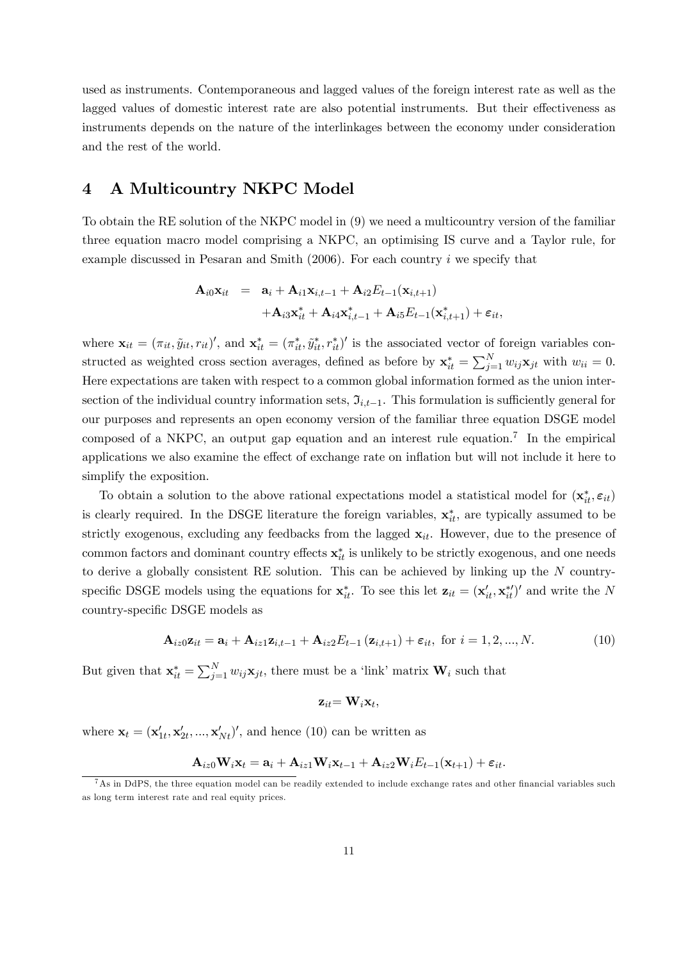used as instruments. Contemporaneous and lagged values of the foreign interest rate as well as the lagged values of domestic interest rate are also potential instruments. But their effectiveness as instruments depends on the nature of the interlinkages between the economy under consideration and the rest of the world.

# 4 A Multicountry NKPC Model

To obtain the RE solution of the NKPC model in (9) we need a multicountry version of the familiar three equation macro model comprising a NKPC, an optimising IS curve and a Taylor rule, for example discussed in Pesaran and Smith (2006). For each country i we specify that

$$
\mathbf{A}_{i0}\mathbf{x}_{it} = \mathbf{a}_{i} + \mathbf{A}_{i1}\mathbf{x}_{i,t-1} + \mathbf{A}_{i2}E_{t-1}(\mathbf{x}_{i,t+1}) + \mathbf{A}_{i3}\mathbf{x}_{it}^{*} + \mathbf{A}_{i4}\mathbf{x}_{i,t-1}^{*} + \mathbf{A}_{i5}E_{t-1}(\mathbf{x}_{i,t+1}^{*}) + \varepsilon_{it},
$$

where  $\mathbf{x}_{it} = (\pi_{it}, \tilde{y}_{it}, r_{it})'$ , and  $\mathbf{x}_{it}^* = (\pi_{it}^*, \tilde{y}_{it}^*, r_{it}^*)'$  is the associated vector of foreign variables constructed as weighted cross section averages, defined as before by  $\mathbf{x}_{it}^{*} = \sum_{j=1}^{N} w_{ij} \mathbf{x}_{jt}$  with  $w_{ii} = 0$ . Here expectations are taken with respect to a common global information formed as the union intersection of the individual country information sets,  $\mathfrak{I}_{i,t-1}$ . This formulation is sufficiently general for our purposes and represents an open economy version of the familiar three equation DSGE model composed of a NKPC, an output gap equation and an interest rule equation.<sup>7</sup> In the empirical applications we also examine the effect of exchange rate on inflation but will not include it here to simplify the exposition.

To obtain a solution to the above rational expectations model a statistical model for  $(\mathbf{x}_{it}^*, \varepsilon_{it})$ is clearly required. In the DSGE literature the foreign variables,  $\mathbf{x}_{it}^*$ , are typically assumed to be strictly exogenous, excluding any feedbacks from the lagged  $x_{it}$ . However, due to the presence of common factors and dominant country effects  $\mathbf{x}_{it}^*$  is unlikely to be strictly exogenous, and one needs to derive a globally consistent RE solution. This can be achieved by linking up the N countryspecific DSGE models using the equations for  $\mathbf{x}_{it}^*$ . To see this let  $\mathbf{z}_{it} = (\mathbf{x}'_{it}, \mathbf{x}_{it}^{*\prime})'$  and write the N country-specific DSGE models as

$$
\mathbf{A}_{iz0}\mathbf{z}_{it} = \mathbf{a}_i + \mathbf{A}_{iz1}\mathbf{z}_{i,t-1} + \mathbf{A}_{iz2}E_{t-1}(\mathbf{z}_{i,t+1}) + \varepsilon_{it}, \text{ for } i = 1,2,...,N.
$$
 (10)

But given that  $\mathbf{x}_{it}^* = \sum_{j=1}^N w_{ij} \mathbf{x}_{jt}$ , there must be a 'link' matrix  $\mathbf{W}_i$  such that

$$
\mathbf{z}_{it} = \mathbf{W}_i \mathbf{x}_t,
$$

where  $\mathbf{x}_t = (\mathbf{x}'_{1t}, \mathbf{x}'_{2t}, ..., \mathbf{x}'_{Nt})'$ , and hence (10) can be written as

$$
\mathbf{A}_{iz0}\mathbf{W}_i\mathbf{x}_t = \mathbf{a}_i + \mathbf{A}_{iz1}\mathbf{W}_i\mathbf{x}_{t-1} + \mathbf{A}_{iz2}\mathbf{W}_iE_{t-1}(\mathbf{x}_{t+1}) + \varepsilon_{it}.
$$

<sup>7</sup>As in DdPS, the three equation model can be readily extended to include exchange rates and other financial variables such as long term interest rate and real equity prices.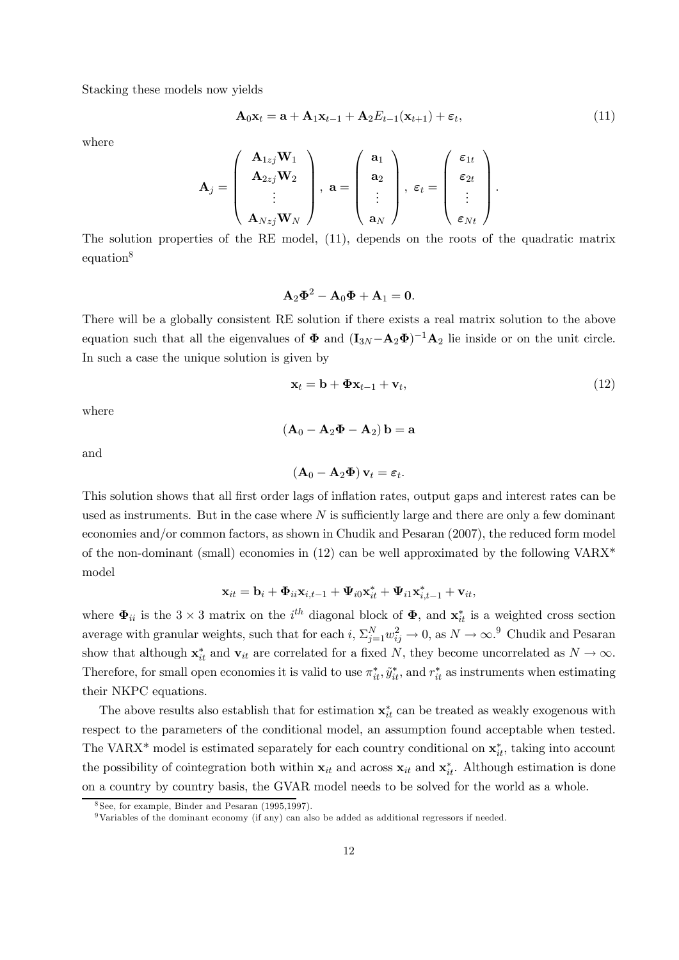Stacking these models now yields

$$
\mathbf{A}_0 \mathbf{x}_t = \mathbf{a} + \mathbf{A}_1 \mathbf{x}_{t-1} + \mathbf{A}_2 E_{t-1}(\mathbf{x}_{t+1}) + \varepsilon_t, \tag{11}
$$

where

$$
\mathbf{A}_{j} = \left(\begin{array}{c} \mathbf{A}_{1zj}\mathbf{W}_{1} \\ \mathbf{A}_{2zj}\mathbf{W}_{2} \\ \vdots \\ \mathbf{A}_{Nzj}\mathbf{W}_{N} \end{array}\right), \ \mathbf{a} = \left(\begin{array}{c} \mathbf{a}_{1} \\ \mathbf{a}_{2} \\ \vdots \\ \mathbf{a}_{N} \end{array}\right), \ \boldsymbol{\varepsilon}_{t} = \left(\begin{array}{c} \boldsymbol{\varepsilon}_{1t} \\ \boldsymbol{\varepsilon}_{2t} \\ \vdots \\ \boldsymbol{\varepsilon}_{Nt} \end{array}\right).
$$

The solution properties of the RE model, (11), depends on the roots of the quadratic matrix equation<sup>8</sup>

$$
\mathbf{A}_2\mathbf{\Phi}^2 - \mathbf{A}_0\mathbf{\Phi} + \mathbf{A}_1 = \mathbf{0}.
$$

There will be a globally consistent RE solution if there exists a real matrix solution to the above equation such that all the eigenvalues of  $\Phi$  and  $(I_{3N}-A_2\Phi)^{-1}A_2$  lie inside or on the unit circle. In such a case the unique solution is given by

$$
\mathbf{x}_t = \mathbf{b} + \mathbf{\Phi} \mathbf{x}_{t-1} + \mathbf{v}_t, \tag{12}
$$

where

and

$$
\left(\mathbf{A}_0-\mathbf{A}_2\mathbf{\Phi}\right)\mathbf{v}_t=\boldsymbol{\varepsilon}_t.
$$

 $(\mathbf{A}_0 - \mathbf{A}_2 \mathbf{\Phi} - \mathbf{A}_2) \mathbf{b} = \mathbf{a}$ 

This solution shows that all first order lags of inflation rates, output gaps and interest rates can be used as instruments. But in the case where  $N$  is sufficiently large and there are only a few dominant economies and/or common factors, as shown in Chudik and Pesaran (2007), the reduced form model of the non-dominant (small) economies in  $(12)$  can be well approximated by the following VARX<sup>\*</sup> model

$$
\mathbf{x}_{it} = \mathbf{b}_i + \mathbf{\Phi}_{ii}\mathbf{x}_{i,t-1} + \mathbf{\Psi}_{i0}\mathbf{x}_{it}^* + \mathbf{\Psi}_{i1}\mathbf{x}_{i,t-1}^* + \mathbf{v}_{it},
$$

where  $\Phi_{ii}$  is the 3 × 3 matrix on the *i*<sup>th</sup> diagonal block of  $\Phi$ , and  $\mathbf{x}_{it}^{*}$  is a weighted cross section average with granular weights, such that for each  $i$ ,  $\Sigma_{j=1}^N w_{ij}^2 \to 0$ , as  $N \to \infty$ .<sup>9</sup> Chudik and Pesaran show that although  $\mathbf{x}_{it}^{*}$  and  $\mathbf{v}_{it}$  are correlated for a fixed N, they become uncorrelated as  $N \to \infty$ . Therefore, for small open economies it is valid to use  $\pi_{it}^*, \tilde{y}_{it}^*$ , and  $r_{it}^*$  as instruments when estimating their NKPC equations.

The above results also establish that for estimation  $\mathbf{x}_{it}^*$  can be treated as weakly exogenous with respect to the parameters of the conditional model, an assumption found acceptable when tested. The VARX<sup>\*</sup> model is estimated separately for each country conditional on  $\mathbf{x}_{it}^*$ , taking into account the possibility of cointegration both within  $x_{it}$  and across  $x_{it}$  and  $x_{it}^*$ . Although estimation is done on a country by country basis, the GVAR model needs to be solved for the world as a whole.

 $8$ See, for example, Binder and Pesaran (1995,1997).

<sup>9</sup>Variables of the dominant economy (if any) can also be added as additional regressors if needed.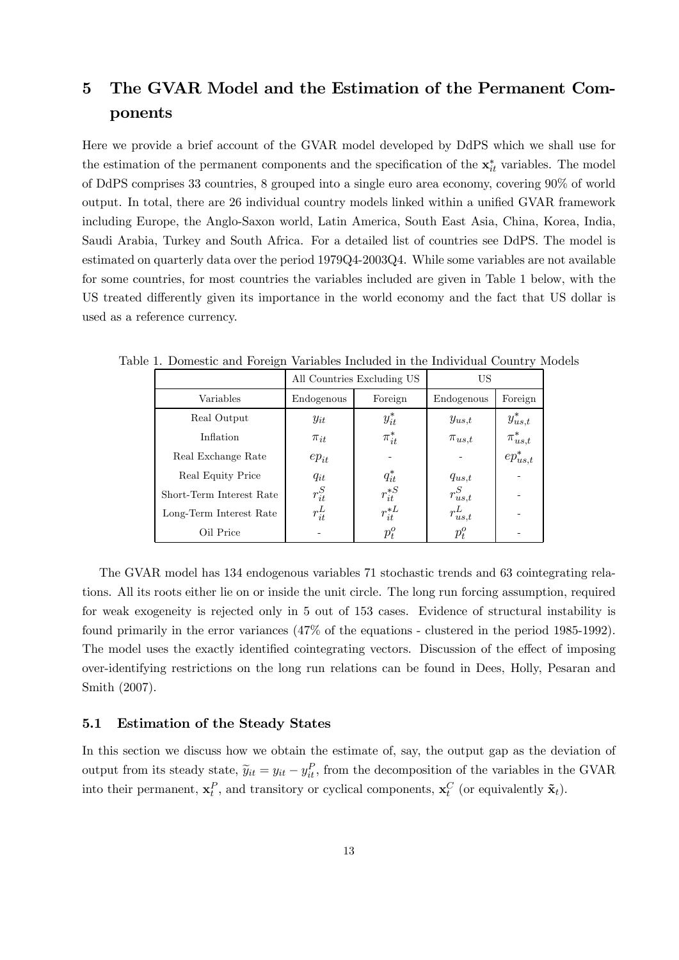# 5 The GVAR Model and the Estimation of the Permanent Components

Here we provide a brief account of the GVAR model developed by DdPS which we shall use for the estimation of the permanent components and the specification of the  $\mathbf{x}_{it}^{*}$  variables. The model of DdPS comprises 33 countries, 8 grouped into a single euro area economy, covering 90% of world output. In total, there are 26 individual country models linked within a unified GVAR framework including Europe, the Anglo-Saxon world, Latin America, South East Asia, China, Korea, India, Saudi Arabia, Turkey and South Africa. For a detailed list of countries see DdPS. The model is estimated on quarterly data over the period 1979Q4-2003Q4. While some variables are not available for some countries, for most countries the variables included are given in Table 1 below, with the US treated differently given its importance in the world economy and the fact that US dollar is used as a reference currency.

|                          |            | All Countries Excluding US | US           |                |
|--------------------------|------------|----------------------------|--------------|----------------|
| Variables                | Endogenous | Foreign                    | Endogenous   | Foreign        |
| Real Output              | $y_{it}$   | $y_{it}^*$                 | $y_{us,t}$   | $y_{us,t}^*$   |
| Inflation                | $\pi_{it}$ | $\pi_{it}^*$               | $\pi_{us,t}$ | $\pi^*_{us,t}$ |
| Real Exchange Rate       | $ep_{it}$  |                            |              | $ep_{us,t}^*$  |
| Real Equity Price        | $q_{it}$   | $q_{it}^*$                 | $q_{us,t}$   |                |
| Short-Term Interest Rate | $r_{it}^S$ | $r_{it}^{*S}$              | $r^S_{us,t}$ |                |
| Long-Term Interest Rate  | $r_{it}^L$ | $r_{it}^{*L}$              | $r_{us,t}^L$ |                |
| Oil Price                |            | $p_{t}^{o}$                | $p_{t}^{o}$  |                |

Table 1. Domestic and Foreign Variables Included in the Individual Country Models

The GVAR model has 134 endogenous variables 71 stochastic trends and 63 cointegrating relations. All its roots either lie on or inside the unit circle. The long run forcing assumption, required for weak exogeneity is rejected only in 5 out of 153 cases. Evidence of structural instability is found primarily in the error variances (47% of the equations - clustered in the period 1985-1992). The model uses the exactly identified cointegrating vectors. Discussion of the effect of imposing over-identifying restrictions on the long run relations can be found in Dees, Holly, Pesaran and Smith (2007).

## 5.1 Estimation of the Steady States

In this section we discuss how we obtain the estimate of, say, the output gap as the deviation of output from its steady state,  $\tilde{y}_{it} = y_{it} - y_{it}^P$ , from the decomposition of the variables in the GVAR into their permanent,  $\mathbf{x}_t^P$ , and transitory or cyclical components,  $\mathbf{x}_t^C$  (or equivalently  $\tilde{\mathbf{x}}_t$ ).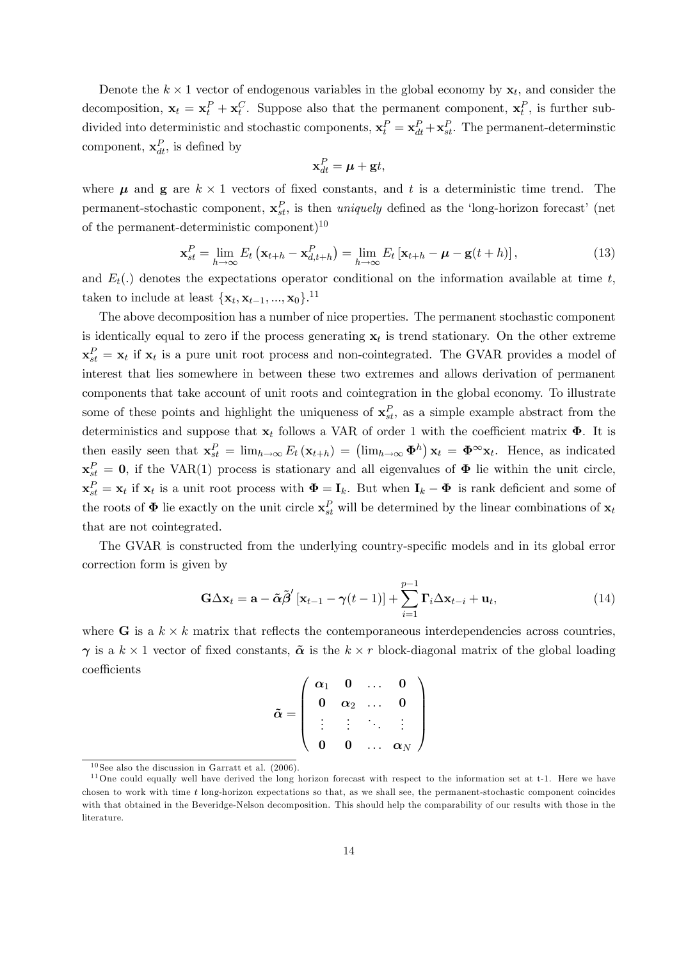Denote the  $k \times 1$  vector of endogenous variables in the global economy by  $\mathbf{x}_t$ , and consider the decomposition,  $\mathbf{x}_t = \mathbf{x}_t^P + \mathbf{x}_t^C$ . Suppose also that the permanent component,  $\mathbf{x}_t^P$ , is further subdivided into deterministic and stochastic components,  $\mathbf{x}_t^P = \mathbf{x}_{dt}^P + \mathbf{x}_{st}^P$ . The permanent-deterministic component,  $\mathbf{x}_{dt}^P$ , is defined by

$$
\mathbf{x}_{dt}^{P} = \boldsymbol{\mu} + \mathbf{g}t,
$$

where  $\mu$  and **g** are  $k \times 1$  vectors of fixed constants, and t is a deterministic time trend. The permanent-stochastic component,  $\mathbf{x}_{st}^P$ , is then uniquely defined as the 'long-horizon forecast' (net of the permanent-deterministic component)<sup>10</sup>

$$
\mathbf{x}_{st}^P = \lim_{h \to \infty} E_t \left( \mathbf{x}_{t+h} - \mathbf{x}_{d,t+h}^P \right) = \lim_{h \to \infty} E_t \left[ \mathbf{x}_{t+h} - \boldsymbol{\mu} - \mathbf{g}(t+h) \right], \tag{13}
$$

and  $E_t(.)$  denotes the expectations operator conditional on the information available at time t, taken to include at least  $\{\mathbf x_t, \mathbf x_{t-1}, ..., \mathbf x_0\}$ .<sup>11</sup>

The above decomposition has a number of nice properties. The permanent stochastic component is identically equal to zero if the process generating  $x_t$  is trend stationary. On the other extreme  $\mathbf{x}_{st}^P = \mathbf{x}_t$  if  $\mathbf{x}_t$  is a pure unit root process and non-cointegrated. The GVAR provides a model of interest that lies somewhere in between these two extremes and allows derivation of permanent components that take account of unit roots and cointegration in the global economy. To illustrate some of these points and highlight the uniqueness of  $\mathbf{x}_{st}^P$ , as a simple example abstract from the deterministics and suppose that  $\mathbf{x}_t$  follows a VAR of order 1 with the coefficient matrix  $\mathbf{\Phi}$ . It is then easily seen that  $\mathbf{x}_{st}^P = \lim_{h \to \infty} E_t(\mathbf{x}_{t+h}) = (\lim_{h \to \infty} \Phi^h) \mathbf{x}_t = \Phi^{\infty} \mathbf{x}_t$ . Hence, as indicated  $\mathbf{x}_{st}^P = \mathbf{0}$ , if the VAR(1) process is stationary and all eigenvalues of  $\mathbf{\Phi}$  lie within the unit circle,  $\mathbf{x}_{st}^P = \mathbf{x}_t$  if  $\mathbf{x}_t$  is a unit root process with  $\mathbf{\Phi} = \mathbf{I}_k$ . But when  $\mathbf{I}_k - \mathbf{\Phi}$  is rank deficient and some of the roots of  $\Phi$  lie exactly on the unit circle  $\mathbf{x}_{st}^P$  will be determined by the linear combinations of  $\mathbf{x}_t$ that are not cointegrated.

The GVAR is constructed from the underlying country-specific models and in its global error correction form is given by

$$
\mathbf{G}\Delta\mathbf{x}_{t} = \mathbf{a} - \tilde{\boldsymbol{\alpha}}\tilde{\boldsymbol{\beta}}'\left[\mathbf{x}_{t-1} - \boldsymbol{\gamma}(t-1)\right] + \sum_{i=1}^{p-1} \boldsymbol{\Gamma}_{i}\Delta\mathbf{x}_{t-i} + \mathbf{u}_{t},
$$
\n(14)

where G is a  $k \times k$  matrix that reflects the contemporaneous interdependencies across countries,  $\gamma$  is a  $k \times 1$  vector of fixed constants,  $\tilde{\boldsymbol{\alpha}}$  is the  $k \times r$  block-diagonal matrix of the global loading coefficients

$$
\tilde{\boldsymbol{\alpha}} = \left(\begin{array}{cccc} \boldsymbol{\alpha}_1 & \boldsymbol{0} & \dots & \boldsymbol{0} \\ \boldsymbol{0} & \boldsymbol{\alpha}_2 & \dots & \boldsymbol{0} \\ \vdots & \vdots & \ddots & \vdots \\ \boldsymbol{0} & \boldsymbol{0} & \dots & \boldsymbol{\alpha}_N \end{array}\right)
$$

 $10$  See also the discussion in Garratt et al. (2006).

 $11$ One could equally well have derived the long horizon forecast with respect to the information set at t-1. Here we have chosen to work with time t long-horizon expectations so that, as we shall see, the permanent-stochastic component coincides with that obtained in the Beveridge-Nelson decomposition. This should help the comparability of our results with those in the literature.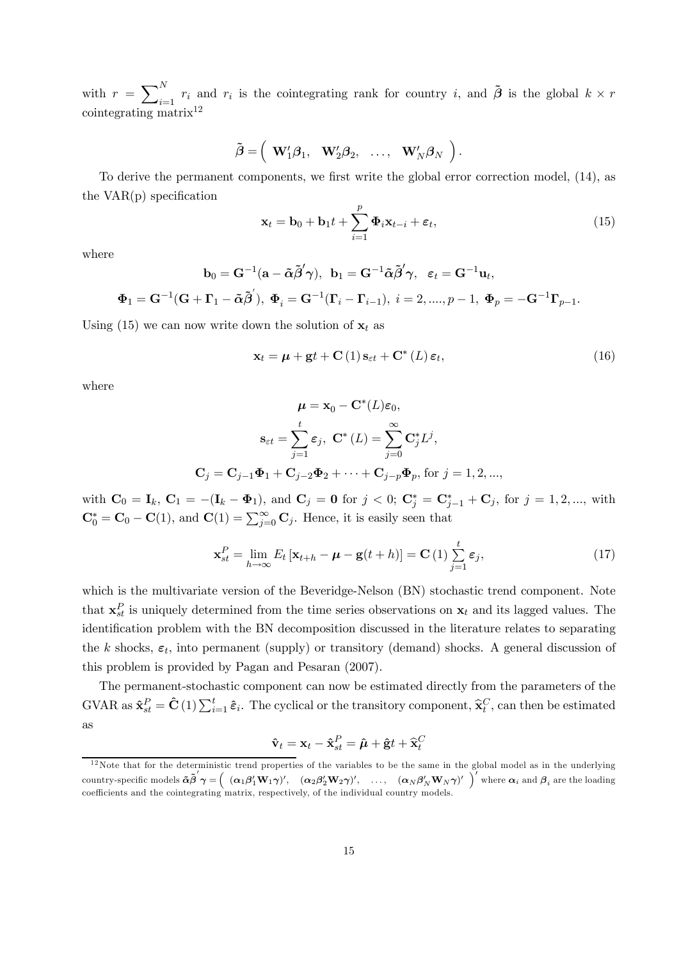with  $r = \sum_{i=1}^{N} r_i$  and  $r_i$  is the cointegrating rank for country i, and  $\tilde{\boldsymbol{\beta}}$  is the global  $k \times r$ cointegrating matrix12

$$
\tilde{\boldsymbol{\beta}} = \left(\begin{array}{cccc} \mathbf{W}_1' \boldsymbol{\beta}_1, & \mathbf{W}_2' \boldsymbol{\beta}_2, & \ldots, & \mathbf{W}_N' \boldsymbol{\beta}_N \end{array}\right).
$$

To derive the permanent components, we first write the global error correction model, (14), as the VAR(p) specification

$$
\mathbf{x}_t = \mathbf{b}_0 + \mathbf{b}_1 t + \sum_{i=1}^p \mathbf{\Phi}_i \mathbf{x}_{t-i} + \boldsymbol{\varepsilon}_t, \tag{15}
$$

where

$$
\mathbf{b}_0 = \mathbf{G}^{-1}(\mathbf{a} - \boldsymbol{\tilde \alpha} \boldsymbol{\tilde \beta}'\boldsymbol{\gamma}), \ \ \mathbf{b}_1 = \mathbf{G}^{-1} \boldsymbol{\tilde \alpha} \boldsymbol{\tilde \beta}'\boldsymbol{\gamma}, \ \ \ \varepsilon_t = \mathbf{G}^{-1} \mathbf{u}_t,
$$

$$
\Phi_1 = \mathbf{G}^{-1}(\mathbf{G} + \mathbf{\Gamma}_1 - \tilde{\boldsymbol{\alpha}}\tilde{\boldsymbol{\beta}}'), \ \Phi_i = \mathbf{G}^{-1}(\mathbf{\Gamma}_i - \mathbf{\Gamma}_{i-1}), \ i = 2, \dots, p-1, \ \Phi_p = -\mathbf{G}^{-1}\mathbf{\Gamma}_{p-1}.
$$

Using (15) we can now write down the solution of  $x_t$  as

$$
\mathbf{x}_{t} = \boldsymbol{\mu} + \mathbf{g}t + \mathbf{C} \left( 1 \right) \mathbf{s}_{\varepsilon t} + \mathbf{C}^{*} \left( L \right) \boldsymbol{\varepsilon}_{t}, \tag{16}
$$

where

$$
\mu = \mathbf{x}_0 - \mathbf{C}^*(L)\varepsilon_0,
$$

$$
\mathbf{s}_{\varepsilon t} = \sum_{j=1}^t \varepsilon_j, \ \mathbf{C}^*(L) = \sum_{j=0}^\infty \mathbf{C}_j^* L^j,
$$

$$
\mathbf{C}_j = \mathbf{C}_{j-1} \mathbf{\Phi}_1 + \mathbf{C}_{j-2} \mathbf{\Phi}_2 + \dots + \mathbf{C}_{j-p} \mathbf{\Phi}_p, \text{ for } j = 1, 2, \dots,
$$

with  $C_0 = I_k$ ,  $C_1 = -(\mathbf{I}_k - \mathbf{\Phi}_1)$ , and  $C_j = 0$  for  $j < 0$ ;  $C_j^* = C_{j-1}^* + C_j$ , for  $j = 1, 2, ...,$  with  $\mathbf{C}_0^* = \mathbf{C}_0 - \mathbf{C}(1)$ , and  $\mathbf{C}(1) = \sum_{j=0}^{\infty} \mathbf{C}_j$ . Hence, it is easily seen that

$$
\mathbf{x}_{st}^P = \lim_{h \to \infty} E_t \left[ \mathbf{x}_{t+h} - \boldsymbol{\mu} - \mathbf{g}(t+h) \right] = \mathbf{C} \left( 1 \right) \sum_{j=1}^t \varepsilon_j,
$$
\n(17)

which is the multivariate version of the Beveridge-Nelson (BN) stochastic trend component. Note that  $\mathbf{x}_{st}^P$  is uniquely determined from the time series observations on  $\mathbf{x}_t$  and its lagged values. The identification problem with the BN decomposition discussed in the literature relates to separating the k shocks,  $\varepsilon_t$ , into permanent (supply) or transitory (demand) shocks. A general discussion of this problem is provided by Pagan and Pesaran (2007).

The permanent-stochastic component can now be estimated directly from the parameters of the GVAR as  $\hat{\mathbf{x}}_{{st}}^P = \hat{\mathbf{C}}(1) \sum_{i=1}^t \hat{\boldsymbol{\varepsilon}}_i$ . The cyclical or the transitory component,  $\hat{\mathbf{x}}_t^C$ , can then be estimated as

$$
\mathbf{\hat{v}}_t = \mathbf{x}_t - \mathbf{\hat{x}}_{st}^P = \hat{\boldsymbol{\mu}} + \mathbf{\hat{g}}t + \mathbf{\hat{x}}_t^C
$$

 $12$ Note that for the deterministic trend properties of the variables to be the same in the global model as in the underlying country-specific models  $\tilde{\boldsymbol{\alpha}}\tilde{\boldsymbol{\beta}}'\boldsymbol{\gamma} = \left( \begin{array}{ccc} (\boldsymbol{\alpha}_1\boldsymbol{\beta}_1'\mathbf{W}_1\boldsymbol{\gamma})', & (\boldsymbol{\alpha}_2\boldsymbol{\beta}_2'\mathbf{W}_2\boldsymbol{\gamma})', & \ldots, & (\boldsymbol{\alpha}_N\boldsymbol{\beta}_N'\mathbf{W}_N\boldsymbol{\gamma})' \end{array} \right)'$  where  $\boldsymbol{\alpha}_i$  and  $\boldsymbol{\beta}_i$  are the loading coefficients and the cointegrating matrix, respectively, of the individual country models.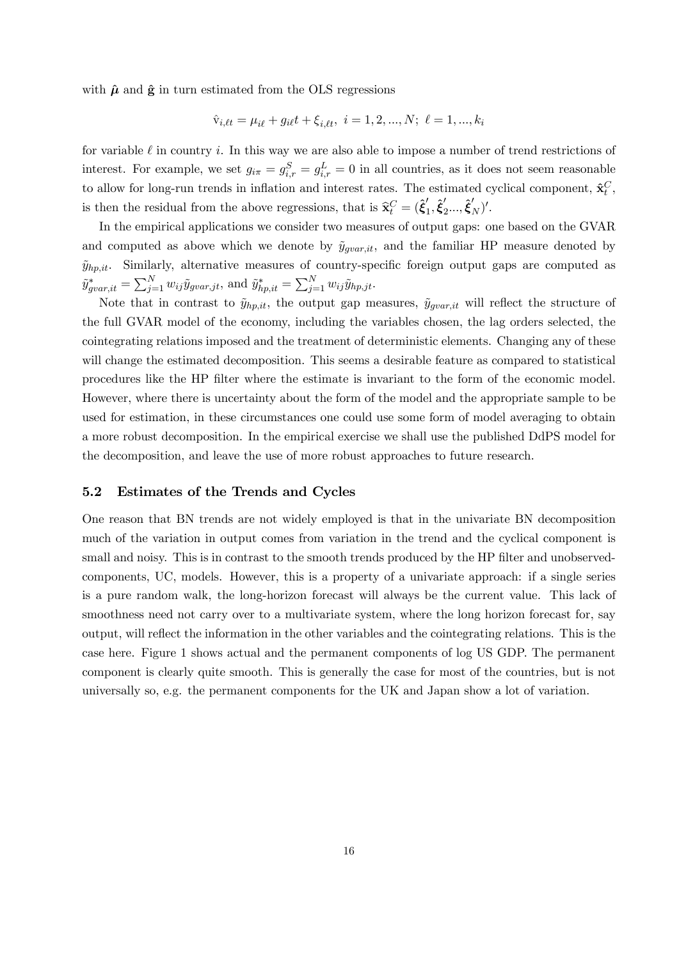with  $\hat{\mu}$  and  $\hat{\mathbf{g}}$  in turn estimated from the OLS regressions

$$
\hat{\mathbf{v}}_{i, \ell t} = \mu_{i\ell} + g_{i\ell}t + \xi_{i, \ell t}, \ i = 1, 2, ..., N; \ \ell = 1, ..., k_i
$$

for variable  $\ell$  in country i. In this way we are also able to impose a number of trend restrictions of interest. For example, we set  $g_{i\pi} = g_{i,r}^S = g_{i,r}^L = 0$  in all countries, as it does not seem reasonable to allow for long-run trends in inflation and interest rates. The estimated cyclical component,  $\hat{\mathbf{x}}_t^C$ , is then the residual from the above regressions, that is  $\hat{\mathbf{x}}_t^C = (\hat{\boldsymbol{\xi}}'_1, \hat{\boldsymbol{\xi}}'_2, ..., \hat{\boldsymbol{\xi}}'_N)'$ .

In the empirical applications we consider two measures of output gaps: one based on the GVAR and computed as above which we denote by  $\tilde{y}_{\text{over.ii}}$ , and the familiar HP measure denoted by  $\tilde{y}_{hp,it}$ . Similarly, alternative measures of country-specific foreign output gaps are computed as  $\tilde{y}^*_{gvar, it} = \sum_{j=1}^N w_{ij} \tilde{y}_{gvar, jt}$ , and  $\tilde{y}^*_{hp, it} = \sum_{j=1}^N w_{ij} \tilde{y}_{hp, jt}$ .

Note that in contrast to  $\tilde{y}_{hp,it}$ , the output gap measures,  $\tilde{y}_{gvar,it}$  will reflect the structure of the full GVAR model of the economy, including the variables chosen, the lag orders selected, the cointegrating relations imposed and the treatment of deterministic elements. Changing any of these will change the estimated decomposition. This seems a desirable feature as compared to statistical procedures like the HP filter where the estimate is invariant to the form of the economic model. However, where there is uncertainty about the form of the model and the appropriate sample to be used for estimation, in these circumstances one could use some form of model averaging to obtain a more robust decomposition. In the empirical exercise we shall use the published DdPS model for the decomposition, and leave the use of more robust approaches to future research.

## 5.2 Estimates of the Trends and Cycles

One reason that BN trends are not widely employed is that in the univariate BN decomposition much of the variation in output comes from variation in the trend and the cyclical component is small and noisy. This is in contrast to the smooth trends produced by the HP filter and unobservedcomponents, UC, models. However, this is a property of a univariate approach: if a single series is a pure random walk, the long-horizon forecast will always be the current value. This lack of smoothness need not carry over to a multivariate system, where the long horizon forecast for, say output, will reflect the information in the other variables and the cointegrating relations. This is the case here. Figure 1 shows actual and the permanent components of log US GDP. The permanent component is clearly quite smooth. This is generally the case for most of the countries, but is not universally so, e.g. the permanent components for the UK and Japan show a lot of variation.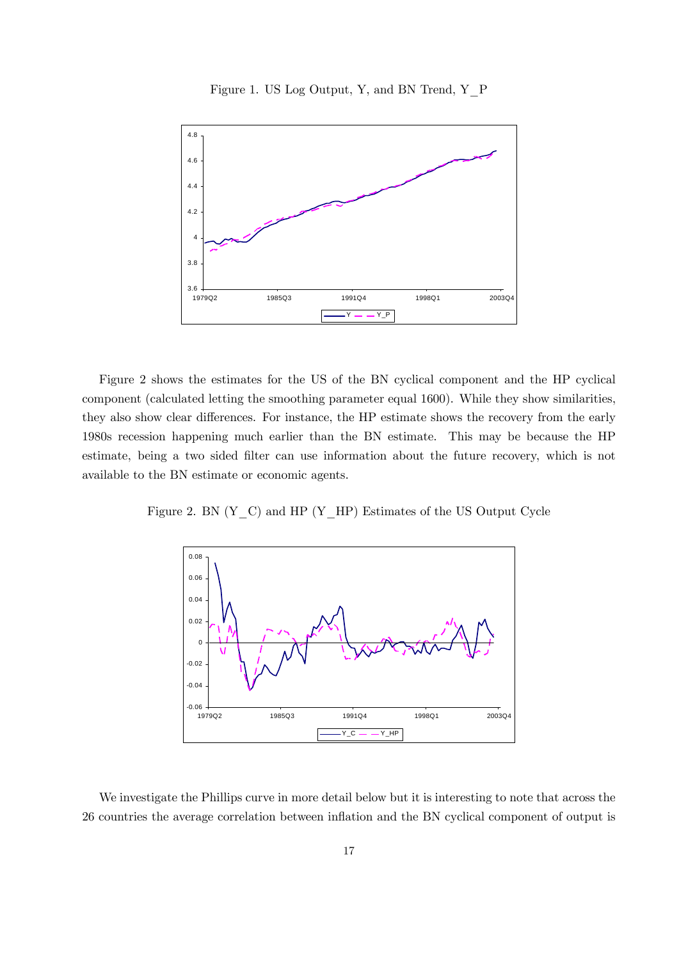



Figure 2 shows the estimates for the US of the BN cyclical component and the HP cyclical component (calculated letting the smoothing parameter equal 1600). While they show similarities, they also show clear differences. For instance, the HP estimate shows the recovery from the early 1980s recession happening much earlier than the BN estimate. This may be because the HP estimate, being a two sided filter can use information about the future recovery, which is not available to the BN estimate or economic agents.

Figure 2. BN  $(Y_C)$  and HP  $(Y_HP)$  Estimates of the US Output Cycle



We investigate the Phillips curve in more detail below but it is interesting to note that across the 26 countries the average correlation between inflation and the BN cyclical component of output is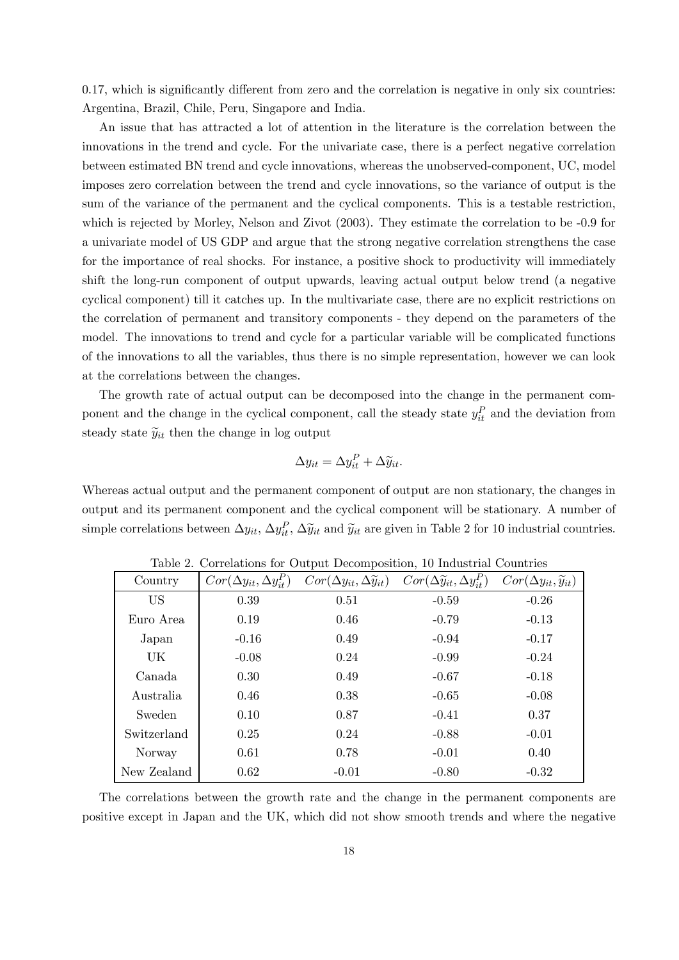0.17, which is significantly different from zero and the correlation is negative in only six countries: Argentina, Brazil, Chile, Peru, Singapore and India.

An issue that has attracted a lot of attention in the literature is the correlation between the innovations in the trend and cycle. For the univariate case, there is a perfect negative correlation between estimated BN trend and cycle innovations, whereas the unobserved-component, UC, model imposes zero correlation between the trend and cycle innovations, so the variance of output is the sum of the variance of the permanent and the cyclical components. This is a testable restriction, which is rejected by Morley, Nelson and Zivot (2003). They estimate the correlation to be -0.9 for a univariate model of US GDP and argue that the strong negative correlation strengthens the case for the importance of real shocks. For instance, a positive shock to productivity will immediately shift the long-run component of output upwards, leaving actual output below trend (a negative cyclical component) till it catches up. In the multivariate case, there are no explicit restrictions on the correlation of permanent and transitory components - they depend on the parameters of the model. The innovations to trend and cycle for a particular variable will be complicated functions of the innovations to all the variables, thus there is no simple representation, however we can look at the correlations between the changes.

The growth rate of actual output can be decomposed into the change in the permanent component and the change in the cyclical component, call the steady state  $y_{it}^P$  and the deviation from steady state  $\widetilde{y}_{it}$  then the change in log output

$$
\Delta y_{it} = \Delta y_{it}^P + \Delta \widetilde{y}_{it}.
$$

Whereas actual output and the permanent component of output are non stationary, the changes in output and its permanent component and the cyclical component will be stationary. A number of simple correlations between  $\Delta y_{it}$ ,  $\Delta y_{it}^P$ ,  $\Delta \tilde{y}_{it}$  and  $\tilde{y}_{it}$  are given in Table 2 for 10 industrial countries.

| Country     | $Cor(\Delta y_{it}, \Delta y_{it}^P)$ | $Cor(\Delta y_{it}, \Delta \tilde{y}_{it})$ | $Cor(\Delta \tilde{y}_{it}, \Delta y_{it}^P)$ | $Cor(\Delta y_{it}, \tilde{y}_{it})$ |
|-------------|---------------------------------------|---------------------------------------------|-----------------------------------------------|--------------------------------------|
| <b>US</b>   | 0.39                                  | 0.51                                        | $-0.59$                                       | $-0.26$                              |
| Euro Area   | 0.19                                  | 0.46                                        | $-0.79$                                       | $-0.13$                              |
| Japan       | $-0.16$                               | 0.49                                        | $-0.94$                                       | $-0.17$                              |
| UK          | $-0.08$                               | 0.24                                        | $-0.99$                                       | $-0.24$                              |
| Canada      | 0.30                                  | 0.49                                        | $-0.67$                                       | $-0.18$                              |
| Australia   | 0.46                                  | 0.38                                        | $-0.65$                                       | $-0.08$                              |
| Sweden      | 0.10                                  | 0.87                                        | $-0.41$                                       | 0.37                                 |
| Switzerland | 0.25                                  | 0.24                                        | $-0.88$                                       | $-0.01$                              |
| Norway      | 0.61                                  | 0.78                                        | $-0.01$                                       | 0.40                                 |
| New Zealand | 0.62                                  | $-0.01$                                     | $-0.80$                                       | $-0.32$                              |

Table 2. Correlations for Output Decomposition, 10 Industrial Countries

The correlations between the growth rate and the change in the permanent components are positive except in Japan and the UK, which did not show smooth trends and where the negative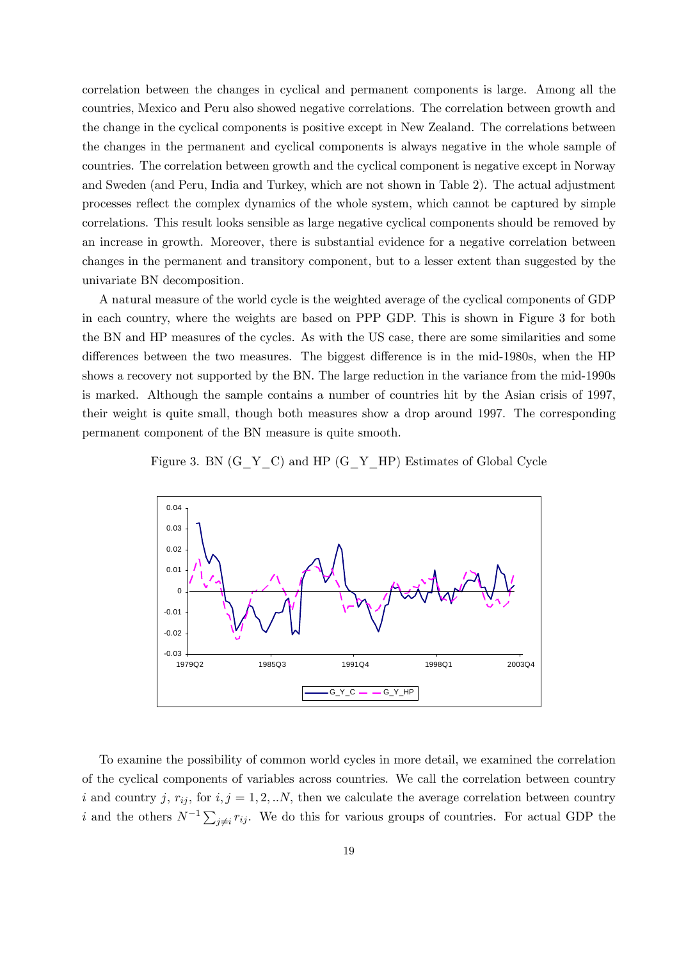correlation between the changes in cyclical and permanent components is large. Among all the countries, Mexico and Peru also showed negative correlations. The correlation between growth and the change in the cyclical components is positive except in New Zealand. The correlations between the changes in the permanent and cyclical components is always negative in the whole sample of countries. The correlation between growth and the cyclical component is negative except in Norway and Sweden (and Peru, India and Turkey, which are not shown in Table 2). The actual adjustment processes reflect the complex dynamics of the whole system, which cannot be captured by simple correlations. This result looks sensible as large negative cyclical components should be removed by an increase in growth. Moreover, there is substantial evidence for a negative correlation between changes in the permanent and transitory component, but to a lesser extent than suggested by the univariate BN decomposition.

A natural measure of the world cycle is the weighted average of the cyclical components of GDP in each country, where the weights are based on PPP GDP. This is shown in Figure 3 for both the BN and HP measures of the cycles. As with the US case, there are some similarities and some differences between the two measures. The biggest difference is in the mid-1980s, when the HP shows a recovery not supported by the BN. The large reduction in the variance from the mid-1990s is marked. Although the sample contains a number of countries hit by the Asian crisis of 1997, their weight is quite small, though both measures show a drop around 1997. The corresponding permanent component of the BN measure is quite smooth.

Figure 3. BN (G\_Y\_C) and HP (G\_Y\_HP) Estimates of Global Cycle



To examine the possibility of common world cycles in more detail, we examined the correlation of the cyclical components of variables across countries. We call the correlation between country i and country j,  $r_{ij}$ , for  $i, j = 1, 2, ...N$ , then we calculate the average correlation between country i and the others  $N^{-1} \sum_{j \neq i} r_{ij}$ . We do this for various groups of countries. For actual GDP the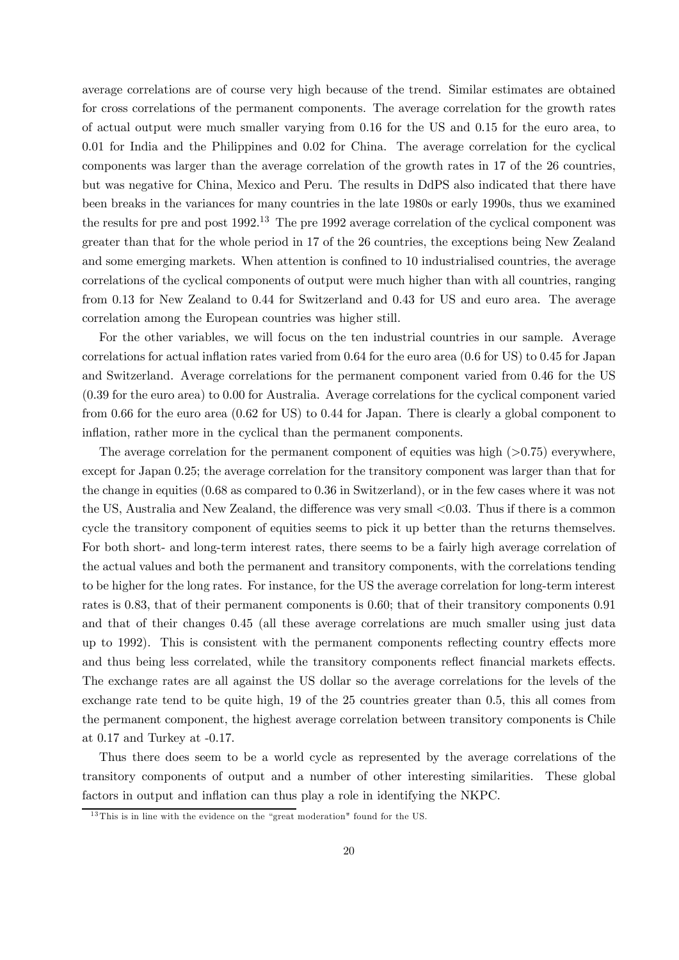average correlations are of course very high because of the trend. Similar estimates are obtained for cross correlations of the permanent components. The average correlation for the growth rates of actual output were much smaller varying from 0.16 for the US and 0.15 for the euro area, to 0.01 for India and the Philippines and 0.02 for China. The average correlation for the cyclical components was larger than the average correlation of the growth rates in 17 of the 26 countries, but was negative for China, Mexico and Peru. The results in DdPS also indicated that there have been breaks in the variances for many countries in the late 1980s or early 1990s, thus we examined the results for pre and post 1992.<sup>13</sup> The pre 1992 average correlation of the cyclical component was greater than that for the whole period in 17 of the 26 countries, the exceptions being New Zealand and some emerging markets. When attention is confined to 10 industrialised countries, the average correlations of the cyclical components of output were much higher than with all countries, ranging from 0.13 for New Zealand to 0.44 for Switzerland and 0.43 for US and euro area. The average correlation among the European countries was higher still.

For the other variables, we will focus on the ten industrial countries in our sample. Average correlations for actual inflation rates varied from 0.64 for the euro area (0.6 for US) to 0.45 for Japan and Switzerland. Average correlations for the permanent component varied from 0.46 for the US (0.39 for the euro area) to 0.00 for Australia. Average correlations for the cyclical component varied from 0.66 for the euro area (0.62 for US) to 0.44 for Japan. There is clearly a global component to inflation, rather more in the cyclical than the permanent components.

The average correlation for the permanent component of equities was high  $(>0.75)$  everywhere, except for Japan 0.25; the average correlation for the transitory component was larger than that for the change in equities (0.68 as compared to 0.36 in Switzerland), or in the few cases where it was not the US, Australia and New Zealand, the difference was very small <0.03. Thus if there is a common cycle the transitory component of equities seems to pick it up better than the returns themselves. For both short- and long-term interest rates, there seems to be a fairly high average correlation of the actual values and both the permanent and transitory components, with the correlations tending to be higher for the long rates. For instance, for the US the average correlation for long-term interest rates is 0.83, that of their permanent components is 0.60; that of their transitory components 0.91 and that of their changes 0.45 (all these average correlations are much smaller using just data up to 1992). This is consistent with the permanent components reflecting country effects more and thus being less correlated, while the transitory components reflect financial markets effects. The exchange rates are all against the US dollar so the average correlations for the levels of the exchange rate tend to be quite high, 19 of the 25 countries greater than 0.5, this all comes from the permanent component, the highest average correlation between transitory components is Chile at 0.17 and Turkey at -0.17.

Thus there does seem to be a world cycle as represented by the average correlations of the transitory components of output and a number of other interesting similarities. These global factors in output and inflation can thus play a role in identifying the NKPC.

 $13$ This is in line with the evidence on the "great moderation" found for the US.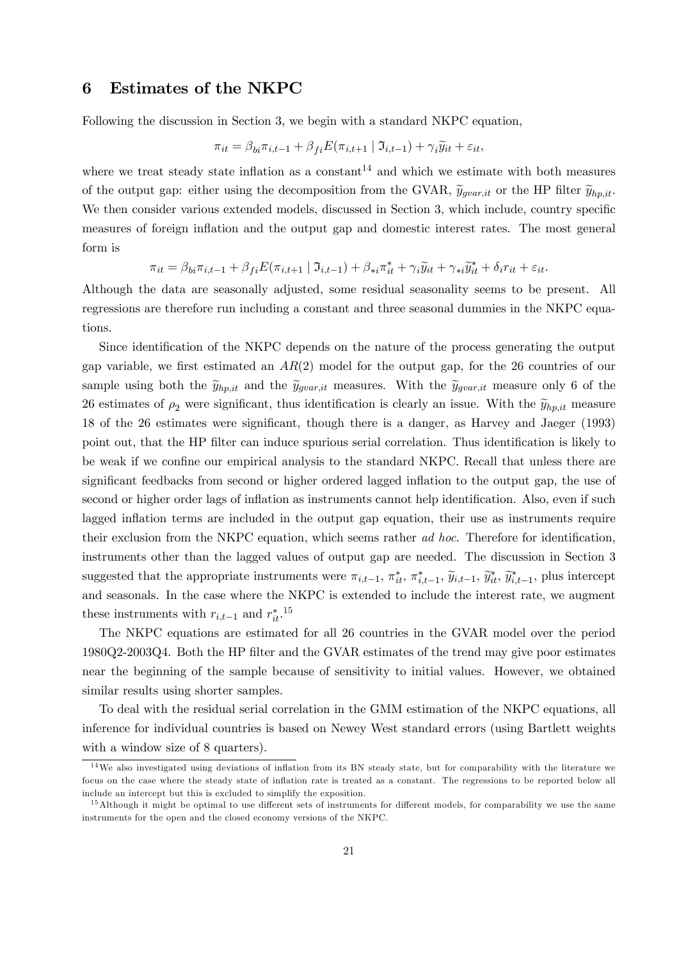# 6 Estimates of the NKPC

Following the discussion in Section 3, we begin with a standard NKPC equation,

$$
\pi_{it} = \beta_{bi}\pi_{i,t-1} + \beta_{fi}E(\pi_{i,t+1} | \mathfrak{I}_{i,t-1}) + \gamma_i\widetilde{y}_{it} + \varepsilon_{it},
$$

where we treat steady state inflation as a constant<sup>14</sup> and which we estimate with both measures of the output gap: either using the decomposition from the GVAR,  $\tilde{y}_{grav, it}$  or the HP filter  $\tilde{y}_{hp, it}$ . We then consider various extended models, discussed in Section 3, which include, country specific measures of foreign inflation and the output gap and domestic interest rates. The most general form is

$$
\pi_{it} = \beta_{bi}\pi_{i,t-1} + \beta_{fi}E(\pi_{i,t+1} | \mathfrak{I}_{i,t-1}) + \beta_{*i}\pi_{it}^* + \gamma_i\widetilde{y}_{it} + \gamma_{*i}\widetilde{y}_{it}^* + \delta_i r_{it} + \varepsilon_{it}.
$$

Although the data are seasonally adjusted, some residual seasonality seems to be present. All regressions are therefore run including a constant and three seasonal dummies in the NKPC equations.

Since identification of the NKPC depends on the nature of the process generating the output gap variable, we first estimated an  $AR(2)$  model for the output gap, for the 26 countries of our sample using both the  $\tilde{y}_{hp,it}$  and the  $\tilde{y}_{gvar,it}$  measures. With the  $\tilde{y}_{gvar,it}$  measure only 6 of the 26 estimates of  $\rho_2$  were significant, thus identification is clearly an issue. With the  $\tilde{y}_{hp,it}$  measure 18 of the 26 estimates were significant, though there is a danger, as Harvey and Jaeger (1993) point out, that the HP filter can induce spurious serial correlation. Thus identification is likely to be weak if we confine our empirical analysis to the standard NKPC. Recall that unless there are significant feedbacks from second or higher ordered lagged inflation to the output gap, the use of second or higher order lags of inflation as instruments cannot help identification. Also, even if such lagged inflation terms are included in the output gap equation, their use as instruments require their exclusion from the NKPC equation, which seems rather ad hoc. Therefore for identification, instruments other than the lagged values of output gap are needed. The discussion in Section 3 suggested that the appropriate instruments were  $\pi_{i,t-1}$ ,  $\pi_{it}^*, \pi_{i,t-1}^*, \widetilde{y}_{i,t-1}$ ,  $\widetilde{y}_{i,t}^*, \widetilde{y}_{i,t-1}^*$ , plus intercept and seasonals. In the case where the NKPC is extended to include the interest rate, we augment these instruments with  $r_{i,t-1}$  and  $r_{it}^{*}$ <sup>15</sup>

The NKPC equations are estimated for all 26 countries in the GVAR model over the period 1980Q2-2003Q4. Both the HP filter and the GVAR estimates of the trend may give poor estimates near the beginning of the sample because of sensitivity to initial values. However, we obtained similar results using shorter samples.

To deal with the residual serial correlation in the GMM estimation of the NKPC equations, all inference for individual countries is based on Newey West standard errors (using Bartlett weights with a window size of 8 quarters).

 $14$ We also investigated using deviations of inflation from its BN steady state, but for comparability with the literature we focus on the case where the steady state of inflation rate is treated as a constant. The regressions to be reported below all include an intercept but this is excluded to simplify the exposition.

 $15$ Although it might be optimal to use different sets of instruments for different models, for comparability we use the same instruments for the open and the closed economy versions of the NKPC.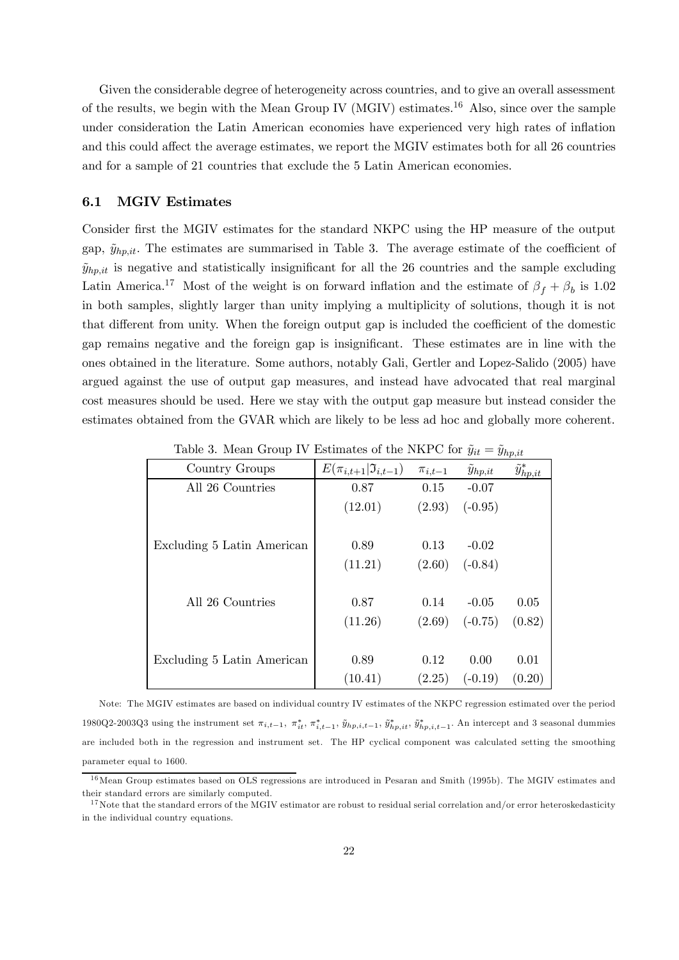Given the considerable degree of heterogeneity across countries, and to give an overall assessment of the results, we begin with the Mean Group IV (MGIV) estimates.16 Also, since over the sample under consideration the Latin American economies have experienced very high rates of inflation and this could affect the average estimates, we report the MGIV estimates both for all 26 countries and for a sample of 21 countries that exclude the 5 Latin American economies.

#### 6.1 MGIV Estimates

Consider first the MGIV estimates for the standard NKPC using the HP measure of the output gap,  $\tilde{y}_{h,pit}$ . The estimates are summarised in Table 3. The average estimate of the coefficient of  $\tilde{y}_{hn,it}$  is negative and statistically insignificant for all the 26 countries and the sample excluding Latin America.<sup>17</sup> Most of the weight is on forward inflation and the estimate of  $\beta_f + \beta_b$  is 1.02 in both samples, slightly larger than unity implying a multiplicity of solutions, though it is not that different from unity. When the foreign output gap is included the coefficient of the domestic gap remains negative and the foreign gap is insignificant. These estimates are in line with the ones obtained in the literature. Some authors, notably Gali, Gertler and Lopez-Salido (2005) have argued against the use of output gap measures, and instead have advocated that real marginal cost measures should be used. Here we stay with the output gap measure but instead consider the estimates obtained from the GVAR which are likely to be less ad hoc and globally more coherent.

| Country Groups             | $E(\pi_{i,t+1} \mathfrak{I}_{i,t-1})$ | $\pi_{i,t-1}$ | $y_{hp,it}$ | $\widetilde{y}^*_{hp,i\underline{t}}$ |
|----------------------------|---------------------------------------|---------------|-------------|---------------------------------------|
| All 26 Countries           | 0.87                                  | 0.15          | $-0.07$     |                                       |
|                            | (12.01)                               | (2.93)        | $(-0.95)$   |                                       |
|                            |                                       |               |             |                                       |
| Excluding 5 Latin American | 0.89                                  | 0.13          | $-0.02$     |                                       |
|                            | (11.21)                               | (2.60)        | $(-0.84)$   |                                       |
|                            |                                       |               |             |                                       |
| All 26 Countries           | 0.87                                  | 0.14          | $-0.05$     | 0.05                                  |
|                            | (11.26)                               | (2.69)        | $(-0.75)$   | (0.82)                                |
|                            |                                       |               |             |                                       |
| Excluding 5 Latin American | 0.89                                  | 0.12          | 0.00        | 0.01                                  |
|                            | (10.41)                               | (2.25)        | $(-0.19)$   | (0.20)                                |

Table 3. Mean Group IV Estimates of the NKPC for  $\tilde{y}_{it} = \tilde{y}_{hp,it}$ 

Note: The MGIV estimates are based on individual country IV estimates of the NKPC regression estimated over the period 1980Q2-2003Q3 using the instrument set  $\pi_{i,t-1}$ ,  $\pi_{it}^*$ ,  $\pi_{i,t-1}^*$ ,  $\tilde{y}_{hp,i,t-1}$ ,  $\tilde{y}_{hp,i,t}^*$ ,  $\tilde{y}_{hp,i,t-1}^*$ . An intercept and 3 seasonal dummies are included both in the regression and instrument set. The HP cyclical component was calculated setting the smoothing parameter equal to 1600.

<sup>&</sup>lt;sup>16</sup> Mean Group estimates based on OLS regressions are introduced in Pesaran and Smith (1995b). The MGIV estimates and their standard errors are similarly computed.

 $17$  Note that the standard errors of the MGIV estimator are robust to residual serial correlation and/or error heteroskedasticity in the individual country equations.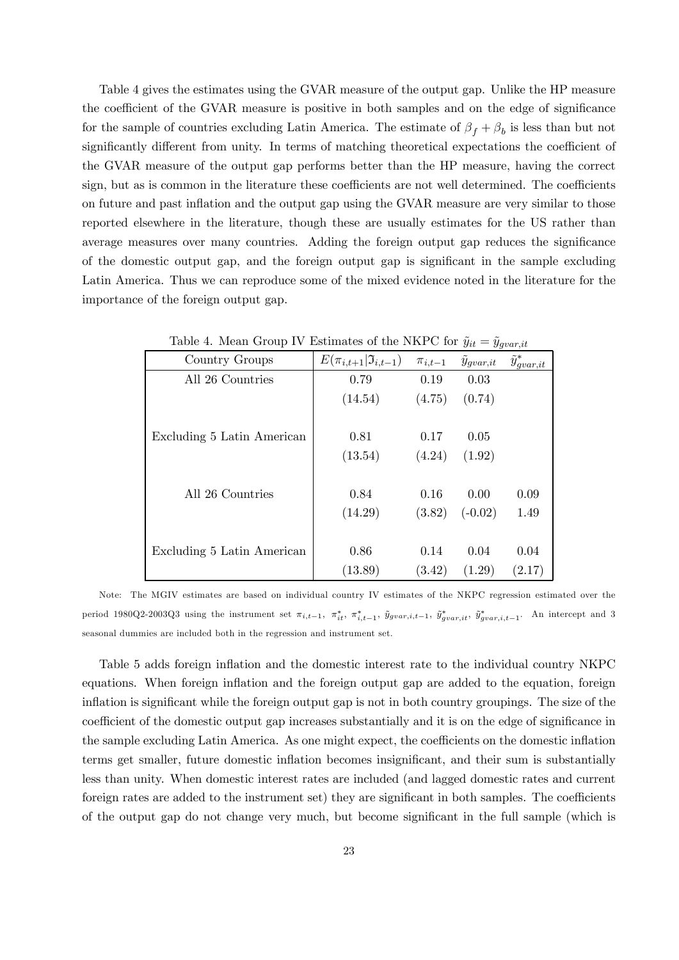Table 4 gives the estimates using the GVAR measure of the output gap. Unlike the HP measure the coefficient of the GVAR measure is positive in both samples and on the edge of significance for the sample of countries excluding Latin America. The estimate of  $\beta_f + \beta_b$  is less than but not significantly different from unity. In terms of matching theoretical expectations the coefficient of the GVAR measure of the output gap performs better than the HP measure, having the correct sign, but as is common in the literature these coefficients are not well determined. The coefficients on future and past inflation and the output gap using the GVAR measure are very similar to those reported elsewhere in the literature, though these are usually estimates for the US rather than average measures over many countries. Adding the foreign output gap reduces the significance of the domestic output gap, and the foreign output gap is significant in the sample excluding Latin America. Thus we can reproduce some of the mixed evidence noted in the literature for the importance of the foreign output gap.

| Country Groups             | $E(\pi_{i,t+1} \mathfrak{I}_{i,t-1})$ | $\pi_{i,t-1}$ | $\ddot{y}_{qvar, it}$ | $\tilde{y}^*_{g v \underline{ar}, i t}$ |
|----------------------------|---------------------------------------|---------------|-----------------------|-----------------------------------------|
| All 26 Countries           | 0.79                                  | 0.19          | 0.03                  |                                         |
|                            | (14.54)                               | (4.75)        | (0.74)                |                                         |
|                            |                                       |               |                       |                                         |
| Excluding 5 Latin American | 0.81                                  | 0.17          | 0.05                  |                                         |
|                            | (13.54)                               | (4.24)        | (1.92)                |                                         |
|                            |                                       |               |                       |                                         |
| All 26 Countries           | 0.84                                  | 0.16          | 0.00                  | 0.09                                    |
|                            | (14.29)                               | (3.82)        | $(-0.02)$             | 1.49                                    |
|                            |                                       |               |                       |                                         |
| Excluding 5 Latin American | 0.86                                  | 0.14          | 0.04                  | 0.04                                    |
|                            | (13.89)                               | (3.42)        | (1.29)                | (2.17)                                  |

Table 4. Mean Group IV Estimates of the NKPC for  $\tilde{y}_{it} = \tilde{y}_{\text{gamma},it}$ 

Note: The MGIV estimates are based on individual country IV estimates of the NKPC regression estimated over the period 1980Q2-2003Q3 using the instrument set  $\pi_{i,t-1}$ ,  $\pi_{it}^*$ ,  $\pi_{i,t-1}^*$ ,  $\tilde{y}_{gvar,i,t-1}$ ,  $\tilde{y}_{gvar,i,t}^*$ ,  $\tilde{y}_{gvar,i,t-1}^*$ . An intercept and 3 seasonal dummies are included both in the regression and instrument set.

Table 5 adds foreign inflation and the domestic interest rate to the individual country NKPC equations. When foreign inflation and the foreign output gap are added to the equation, foreign inflation is significant while the foreign output gap is not in both country groupings. The size of the coefficient of the domestic output gap increases substantially and it is on the edge of significance in the sample excluding Latin America. As one might expect, the coefficients on the domestic inflation terms get smaller, future domestic inflation becomes insignificant, and their sum is substantially less than unity. When domestic interest rates are included (and lagged domestic rates and current foreign rates are added to the instrument set) they are significant in both samples. The coefficients of the output gap do not change very much, but become significant in the full sample (which is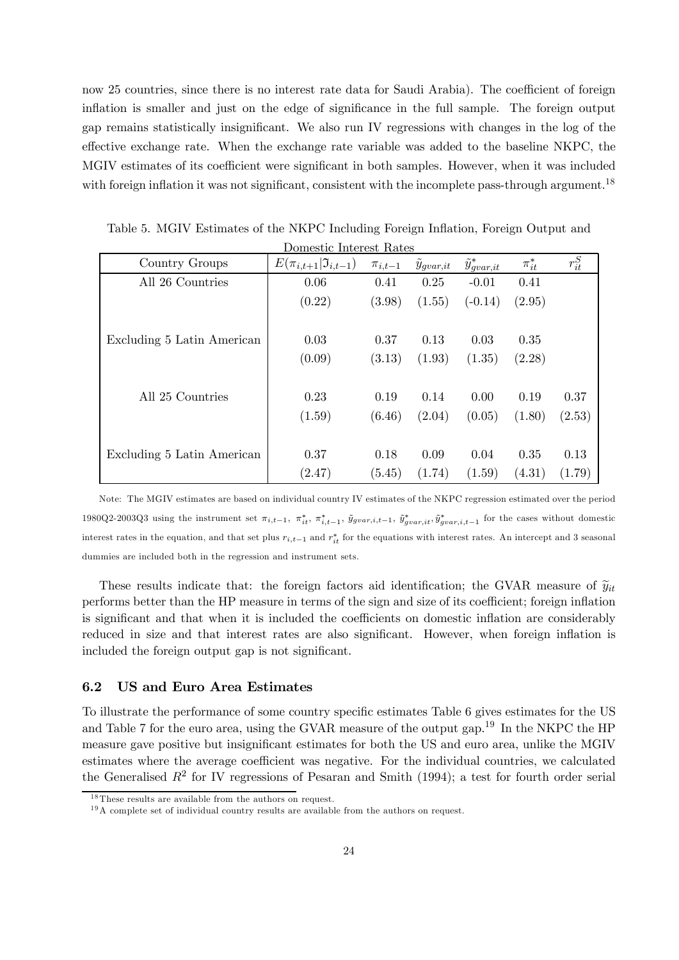now 25 countries, since there is no interest rate data for Saudi Arabia). The coefficient of foreign inflation is smaller and just on the edge of significance in the full sample. The foreign output gap remains statistically insignificant. We also run IV regressions with changes in the log of the effective exchange rate. When the exchange rate variable was added to the baseline NKPC, the MGIV estimates of its coefficient were significant in both samples. However, when it was included with foreign inflation it was not significant, consistent with the incomplete pass-through argument.<sup>18</sup>

| Domestic Interest Rates    |                                       |               |                       |                          |              |            |
|----------------------------|---------------------------------------|---------------|-----------------------|--------------------------|--------------|------------|
| Country Groups             | $E(\pi_{i,t+1} \mathfrak{I}_{i,t-1})$ | $\pi_{i,t-1}$ | $\ddot{y}_{qvar, it}$ | $\tilde{y}_{qvar, it}^*$ | $\pi_{it}^*$ | $r_{it}^S$ |
| All 26 Countries           | 0.06                                  | 0.41          | 0.25                  | $-0.01$                  | 0.41         |            |
|                            | (0.22)                                | (3.98)        | (1.55)                | $(-0.14)$                | (2.95)       |            |
|                            |                                       |               |                       |                          |              |            |
| Excluding 5 Latin American | 0.03                                  | 0.37          | 0.13                  | 0.03                     | 0.35         |            |
|                            | (0.09)                                | (3.13)        | (1.93)                | (1.35)                   | (2.28)       |            |
| All 25 Countries           | 0.23                                  | 0.19          | 0.14                  | 0.00                     | 0.19         | 0.37       |
|                            | (1.59)                                | (6.46)        | (2.04)                | (0.05)                   | (1.80)       | (2.53)     |
|                            |                                       |               |                       |                          |              |            |
| Excluding 5 Latin American | 0.37                                  | 0.18          | 0.09                  | 0.04                     | 0.35         | 0.13       |
|                            | (2.47)                                | (5.45)        | (1.74)                | (1.59)                   | (4.31)       | (1.79)     |

Table 5. MGIV Estimates of the NKPC Including Foreign Inflation, Foreign Output and

Note: The MGIV estimates are based on individual country IV estimates of the NKPC regression estimated over the period 1980Q2-2003Q3 using the instrument set  $\pi_{i,t-1}$ ,  $\pi_{it}^*$ ,  $\pi_{i,t-1}^*$ ,  $\tilde{y}_{gvar,i,t-1}$ ,  $\tilde{y}_{gvar,i,t}^*$ ,  $\tilde{y}_{gvar,i,t-1}^*$  for the cases without domestic interest rates in the equation, and that set plus  $r_{i,t-1}$  and  $r_{it}^*$  for the equations with interest rates. An intercept and 3 seasonal dummies are included both in the regression and instrument sets.

These results indicate that: the foreign factors aid identification; the GVAR measure of  $\tilde{y}_{it}$ performs better than the HP measure in terms of the sign and size of its coefficient; foreign inflation is significant and that when it is included the coefficients on domestic inflation are considerably reduced in size and that interest rates are also significant. However, when foreign inflation is included the foreign output gap is not significant.

#### 6.2 US and Euro Area Estimates

To illustrate the performance of some country specific estimates Table 6 gives estimates for the US and Table 7 for the euro area, using the GVAR measure of the output gap.<sup>19</sup> In the NKPC the HP measure gave positive but insignificant estimates for both the US and euro area, unlike the MGIV estimates where the average coefficient was negative. For the individual countries, we calculated the Generalised  $R^2$  for IV regressions of Pesaran and Smith (1994); a test for fourth order serial

<sup>&</sup>lt;sup>18</sup>These results are available from the authors on request.

 $19A$  complete set of individual country results are available from the authors on request.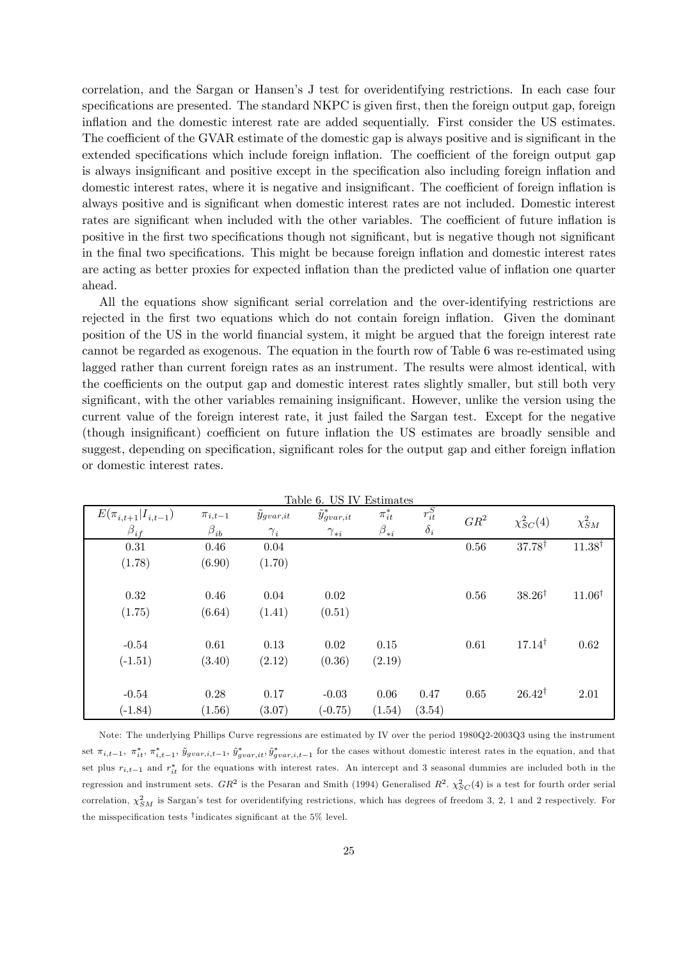correlation, and the Sargan or Hansen's J test for overidentifying restrictions. In each case four specifications are presented. The standard NKPC is given first, then the foreign output gap, foreign inflation and the domestic interest rate are added sequentially. First consider the US estimates. The coefficient of the GVAR estimate of the domestic gap is always positive and is significant in the extended specifications which include foreign inflation. The coefficient of the foreign output gap is always insignificant and positive except in the specification also including foreign inflation and domestic interest rates, where it is negative and insignificant. The coefficient of foreign inflation is always positive and is significant when domestic interest rates are not included. Domestic interest rates are significant when included with the other variables. The coefficient of future inflation is positive in the first two specifications though not significant, but is negative though not significant in the final two specifications. This might be because foreign inflation and domestic interest rates are acting as better proxies for expected inflation than the predicted value of inflation one quarter ahead.

All the equations show significant serial correlation and the over-identifying restrictions are rejected in the first two equations which do not contain foreign inflation. Given the dominant position of the US in the world financial system, it might be argued that the foreign interest rate cannot be regarded as exogenous. The equation in the fourth row of Table 6 was re-estimated using lagged rather than current foreign rates as an instrument. The results were almost identical, with the coefficients on the output gap and domestic interest rates slightly smaller, but still both very significant, with the other variables remaining insignificant. However, unlike the version using the current value of the foreign interest rate, it just failed the Sargan test. Except for the negative (though insignificant) coefficient on future inflation the US estimates are broadly sensible and suggest, depending on specification, significant roles for the output gap and either foreign inflation or domestic interest rates.

| $E(\pi_{i,t+1}   I_{i,t-1})$ | $\pi_{i,t-1}$ | $y_{gvar,it}$ | Table 0. Op TV<br>$\tilde{y}_{gvar, it}^*$ | твишалев<br>$\pi^*_{it}$ | $r^S_{it}$ | $GR^2$ | $\chi^2_{SC}(4)$  | $\chi^2_{SM}$     |
|------------------------------|---------------|---------------|--------------------------------------------|--------------------------|------------|--------|-------------------|-------------------|
| $\beta_{if}$                 | $\beta_{ib}$  | $\gamma_i$    | $\gamma_{*i}$                              | $\beta_{*i}$             | $\delta_i$ |        |                   |                   |
| 0.31                         | 0.46          | 0.04          |                                            |                          |            | 0.56   | $37.78^{\dagger}$ | $11.38^{\dagger}$ |
| (1.78)                       | (6.90)        | (1.70)        |                                            |                          |            |        |                   |                   |
|                              |               |               |                                            |                          |            |        |                   |                   |
| 0.32                         | 0.46          | 0.04          | 0.02                                       |                          |            | 0.56   | $38.26^{\dagger}$ | $11.06^{\dagger}$ |
| (1.75)                       | (6.64)        | (1.41)        | (0.51)                                     |                          |            |        |                   |                   |
|                              |               |               |                                            |                          |            |        |                   |                   |
| $-0.54$                      | 0.61          | 0.13          | 0.02                                       | 0.15                     |            | 0.61   | $17.14^{\dagger}$ | 0.62              |
| $(-1.51)$                    | (3.40)        | (2.12)        | (0.36)                                     | (2.19)                   |            |        |                   |                   |
|                              |               |               |                                            |                          |            |        |                   |                   |
| $-0.54$                      | 0.28          | 0.17          | $-0.03$                                    | 0.06                     | 0.47       | 0.65   | $26.42^{\dagger}$ | 2.01              |
| $(-1.84)$                    | (1.56)        | (3.07)        | $(-0.75)$                                  | (1.54)                   | (3.54)     |        |                   |                   |

| Table 6. US IV Estimates |
|--------------------------|
|--------------------------|

Note: The underlying Phillips Curve regressions are estimated by IV over the period 1980Q2-2003Q3 using the instrument set  $\pi_{i,t-1}, \pi_{it}^*, \pi_{i,t-1}^*, \tilde{y}_{gvar,i,t-1}, \tilde{y}_{gvar,i,t}^*, \tilde{y}_{gvar,i,t-1}^*$  for the cases without domestic interest rates in the equation, and that set plus  $r_{i,t-1}$  and  $r_{it}^*$  for the equations with interest rates. An intercept and 3 seasonal dummies are included both in the regression and instrument sets.  $GR^2$  is the Pesaran and Smith (1994) Generalised  $R^2$ .  $\chi^2_{SC}(4)$  is a test for fourth order serial correlation,  $\chi_{SM}^2$  is Sargan's test for overidentifying restrictions, which has degrees of freedom 3, 2, 1 and 2 respectively. For the misspecification tests †indicates significant at the 5% level.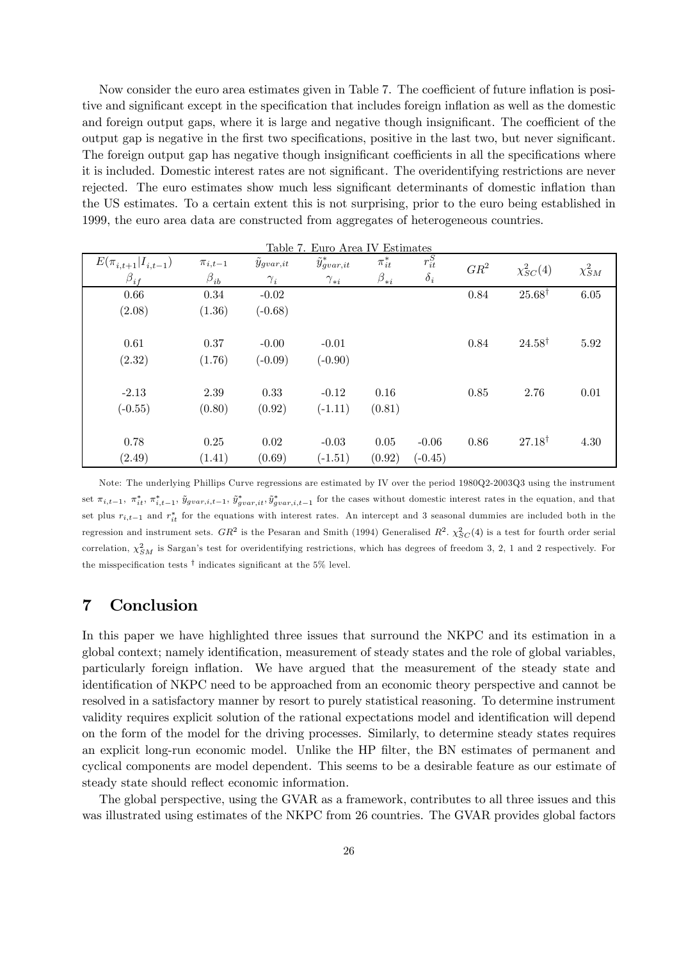Now consider the euro area estimates given in Table 7. The coefficient of future inflation is positive and significant except in the specification that includes foreign inflation as well as the domestic and foreign output gaps, where it is large and negative though insignificant. The coefficient of the output gap is negative in the first two specifications, positive in the last two, but never significant. The foreign output gap has negative though insignificant coefficients in all the specifications where it is included. Domestic interest rates are not significant. The overidentifying restrictions are never rejected. The euro estimates show much less significant determinants of domestic inflation than the US estimates. To a certain extent this is not surprising, prior to the euro being established in 1999, the euro area data are constructed from aggregates of heterogeneous countries.

|                              |               | Table 7.      | Euro Area IV Estimates   |              |            |        |                   |               |
|------------------------------|---------------|---------------|--------------------------|--------------|------------|--------|-------------------|---------------|
| $E(\pi_{i,t+1}   I_{i,t-1})$ | $\pi_{i,t-1}$ | $y_{gvar,it}$ | $\tilde{y}^*_{gvar, it}$ | $\pi^*_{it}$ | $r^S_{it}$ | $GR^2$ | $\chi^2_{SC}(4)$  | $\chi^2_{SM}$ |
| $\beta_{if}$                 | $\beta_{ib}$  | ${\gamma}_i$  | $\gamma_{*i}$            | $\beta_{*i}$ | $\delta_i$ |        |                   |               |
| 0.66                         | 0.34          | $-0.02$       |                          |              |            | 0.84   | $25.68^{\dagger}$ | $6.05\,$      |
| (2.08)                       | (1.36)        | $(-0.68)$     |                          |              |            |        |                   |               |
|                              |               |               |                          |              |            |        |                   |               |
| 0.61                         | 0.37          | $-0.00$       | $-0.01$                  |              |            | 0.84   | $24.58^{\dagger}$ | 5.92          |
| (2.32)                       | (1.76)        | $(-0.09)$     | $(-0.90)$                |              |            |        |                   |               |
|                              |               |               |                          |              |            |        |                   |               |
| $-2.13$                      | 2.39          | 0.33          | $-0.12$                  | 0.16         |            | 0.85   | 2.76              | 0.01          |
| $(-0.55)$                    | (0.80)        | (0.92)        | $(-1.11)$                | (0.81)       |            |        |                   |               |
|                              |               |               |                          |              |            |        |                   |               |
| 0.78                         | 0.25          | 0.02          | $-0.03$                  | 0.05         | $-0.06$    | 0.86   | $27.18^{\dagger}$ | 4.30          |
| (2.49)                       | (1.41)        | (0.69)        | $(-1.51)$                | (0.92)       | $(-0.45)$  |        |                   |               |

Note: The underlying Phillips Curve regressions are estimated by IV over the period 1980Q2-2003Q3 using the instrument set  $\pi_{i,t-1}, \pi_{it}^*, \pi_{i,t-1}^*, \tilde{y}_{gvar,i,t-1}, \tilde{y}_{gvar,i,t}^*, \tilde{y}_{gvar,i,t-1}^*$  for the cases without domestic interest rates in the equation, and that set plus  $r_{i,t-1}$  and  $r_{it}^*$  for the equations with interest rates. An intercept and 3 seasonal dummies are included both in the regression and instrument sets.  $GR^2$  is the Pesaran and Smith (1994) Generalised  $R^2$ .  $\chi^2_{SC}(4)$  is a test for fourth order serial correlation,  $\chi_{SM}^2$  is Sargan's test for overidentifying restrictions, which has degrees of freedom 3, 2, 1 and 2 respectively. For the misspecification tests  $^\dagger$  indicates significant at the 5% level.

# 7 Conclusion

In this paper we have highlighted three issues that surround the NKPC and its estimation in a global context; namely identification, measurement of steady states and the role of global variables, particularly foreign inflation. We have argued that the measurement of the steady state and identification of NKPC need to be approached from an economic theory perspective and cannot be resolved in a satisfactory manner by resort to purely statistical reasoning. To determine instrument validity requires explicit solution of the rational expectations model and identification will depend on the form of the model for the driving processes. Similarly, to determine steady states requires an explicit long-run economic model. Unlike the HP filter, the BN estimates of permanent and cyclical components are model dependent. This seems to be a desirable feature as our estimate of steady state should reflect economic information.

The global perspective, using the GVAR as a framework, contributes to all three issues and this was illustrated using estimates of the NKPC from 26 countries. The GVAR provides global factors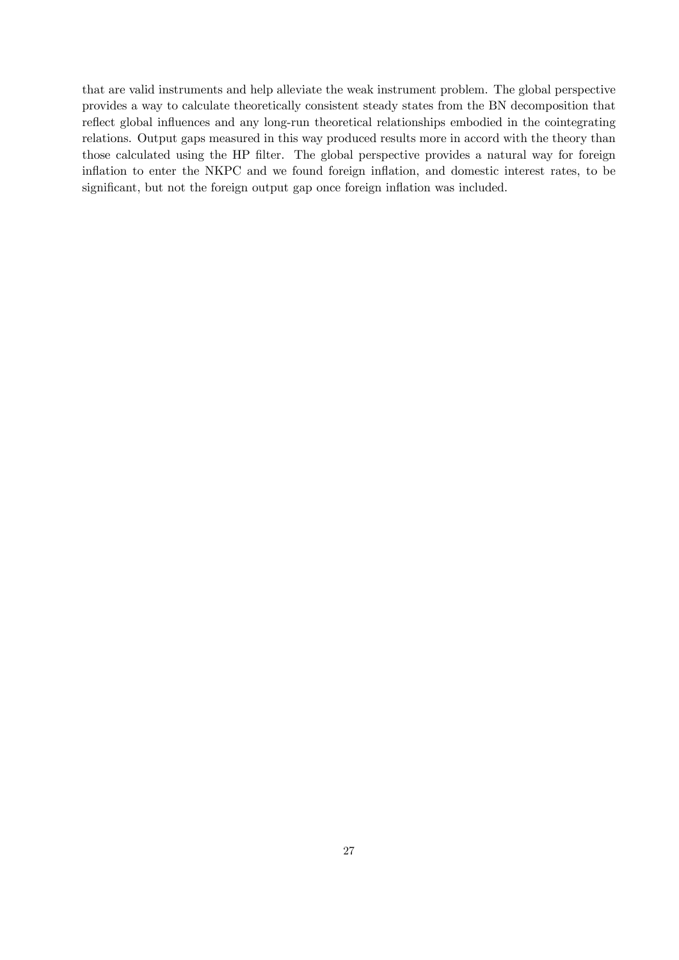that are valid instruments and help alleviate the weak instrument problem. The global perspective provides a way to calculate theoretically consistent steady states from the BN decomposition that reflect global influences and any long-run theoretical relationships embodied in the cointegrating relations. Output gaps measured in this way produced results more in accord with the theory than those calculated using the HP filter. The global perspective provides a natural way for foreign inflation to enter the NKPC and we found foreign inflation, and domestic interest rates, to be significant, but not the foreign output gap once foreign inflation was included.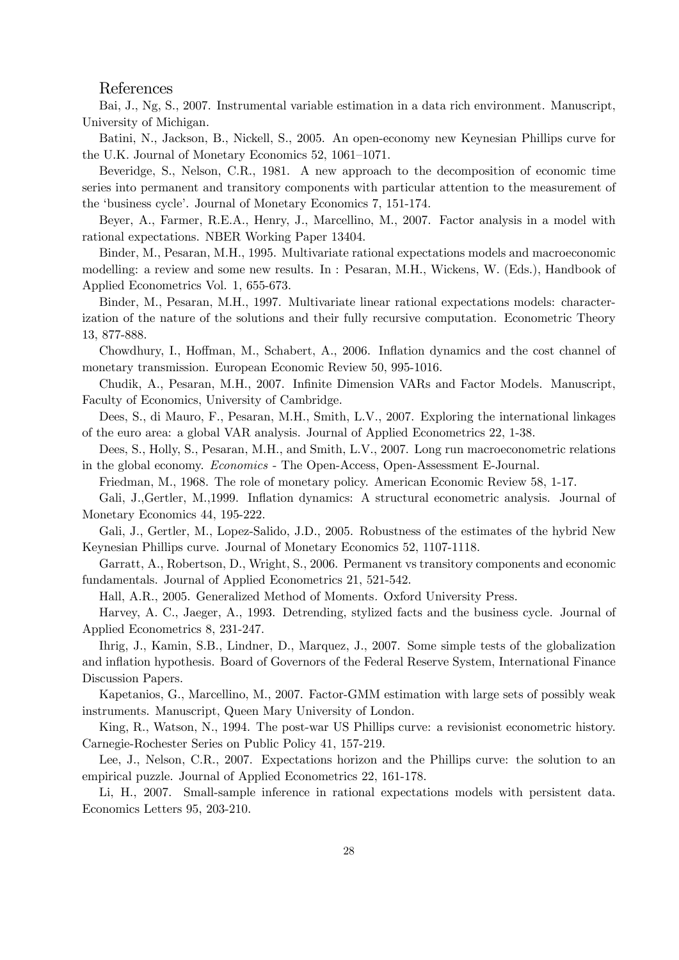## References

Bai, J., Ng, S., 2007. Instrumental variable estimation in a data rich environment. Manuscript, University of Michigan.

Batini, N., Jackson, B., Nickell, S., 2005. An open-economy new Keynesian Phillips curve for the U.K. Journal of Monetary Economics 52, 1061—1071.

Beveridge, S., Nelson, C.R., 1981. A new approach to the decomposition of economic time series into permanent and transitory components with particular attention to the measurement of the 'business cycle'. Journal of Monetary Economics 7, 151-174.

Beyer, A., Farmer, R.E.A., Henry, J., Marcellino, M., 2007. Factor analysis in a model with rational expectations. NBER Working Paper 13404.

Binder, M., Pesaran, M.H., 1995. Multivariate rational expectations models and macroeconomic modelling: a review and some new results. In : Pesaran, M.H., Wickens, W. (Eds.), Handbook of Applied Econometrics Vol. 1, 655-673.

Binder, M., Pesaran, M.H., 1997. Multivariate linear rational expectations models: characterization of the nature of the solutions and their fully recursive computation. Econometric Theory 13, 877-888.

Chowdhury, I., Hoffman, M., Schabert, A., 2006. Inflation dynamics and the cost channel of monetary transmission. European Economic Review 50, 995-1016.

Chudik, A., Pesaran, M.H., 2007. Infinite Dimension VARs and Factor Models. Manuscript, Faculty of Economics, University of Cambridge.

Dees, S., di Mauro, F., Pesaran, M.H., Smith, L.V., 2007. Exploring the international linkages of the euro area: a global VAR analysis. Journal of Applied Econometrics 22, 1-38.

Dees, S., Holly, S., Pesaran, M.H., and Smith, L.V., 2007. Long run macroeconometric relations in the global economy. Economics - The Open-Access, Open-Assessment E-Journal.

Friedman, M., 1968. The role of monetary policy. American Economic Review 58, 1-17.

Gali, J.,Gertler, M.,1999. Inflation dynamics: A structural econometric analysis. Journal of Monetary Economics 44, 195-222.

Gali, J., Gertler, M., Lopez-Salido, J.D., 2005. Robustness of the estimates of the hybrid New Keynesian Phillips curve. Journal of Monetary Economics 52, 1107-1118.

Garratt, A., Robertson, D., Wright, S., 2006. Permanent vs transitory components and economic fundamentals. Journal of Applied Econometrics 21, 521-542.

Hall, A.R., 2005. Generalized Method of Moments. Oxford University Press.

Harvey, A. C., Jaeger, A., 1993. Detrending, stylized facts and the business cycle. Journal of Applied Econometrics 8, 231-247.

Ihrig, J., Kamin, S.B., Lindner, D., Marquez, J., 2007. Some simple tests of the globalization and inflation hypothesis. Board of Governors of the Federal Reserve System, International Finance Discussion Papers.

Kapetanios, G., Marcellino, M., 2007. Factor-GMM estimation with large sets of possibly weak instruments. Manuscript, Queen Mary University of London.

King, R., Watson, N., 1994. The post-war US Phillips curve: a revisionist econometric history. Carnegie-Rochester Series on Public Policy 41, 157-219.

Lee, J., Nelson, C.R., 2007. Expectations horizon and the Phillips curve: the solution to an empirical puzzle. Journal of Applied Econometrics 22, 161-178.

Li, H., 2007. Small-sample inference in rational expectations models with persistent data. Economics Letters 95, 203-210.